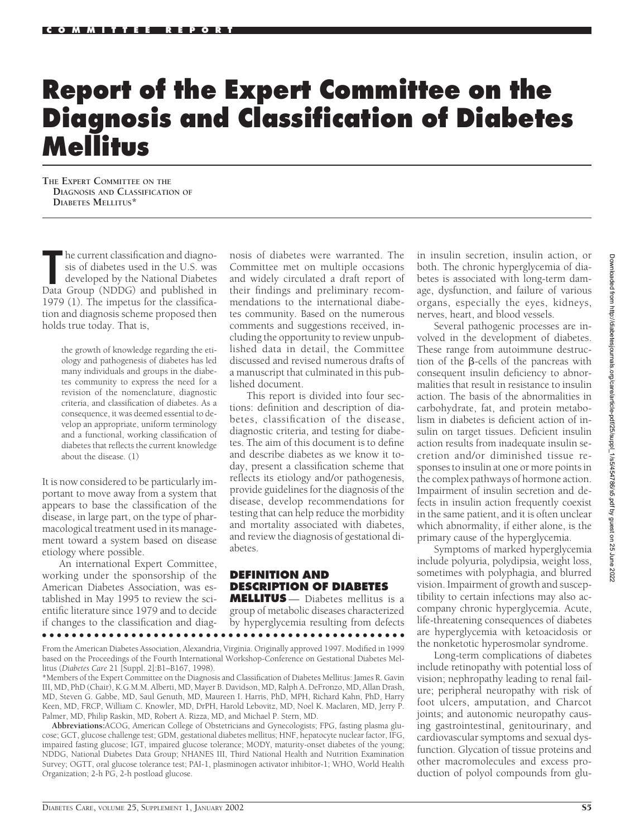# **Report of the Expert Committee on the Diagnosis and Classification of Diabetes Mellitus**

**THE EXPERT COMMITTEE ON THE DIAGNOSIS AND CLASSIFICATION OF DIABETES MELLITUS\***

**The current classification and diagnosis of diabetes used in the U.S. was developed by the National Diabetes Data Group (NDDG) and published in** he current classification and diagnosis of diabetes used in the U.S. was developed by the National Diabetes 1979 (1). The impetus for the classification and diagnosis scheme proposed then holds true today. That is,

> the growth of knowledge regarding the etiology and pathogenesis of diabetes has led many individuals and groups in the diabetes community to express the need for a revision of the nomenclature, diagnostic criteria, and classification of diabetes. As a consequence, it was deemed essential to develop an appropriate, uniform terminology and a functional, working classification of diabetes that reflects the current knowledge about the disease. (1)

It is now considered to be particularly important to move away from a system that appears to base the classification of the disease, in large part, on the type of pharmacological treatment used in its management toward a system based on disease etiology where possible.

An international Expert Committee, working under the sponsorship of the American Diabetes Association, was established in May 1995 to review the scientific literature since 1979 and to decide if changes to the classification and diagnosis of diabetes were warranted. The Committee met on multiple occasions and widely circulated a draft report of their findings and preliminary recommendations to the international diabetes community. Based on the numerous comments and suggestions received, including the opportunity to review unpublished data in detail, the Committee discussed and revised numerous drafts of a manuscript that culminated in this published document.

This report is divided into four sections: definition and description of diabetes, classification of the disease, diagnostic criteria, and testing for diabetes. The aim of this document is to define and describe diabetes as we know it today, present a classification scheme that reflects its etiology and/or pathogenesis, provide guidelines for the diagnosis of the disease, develop recommendations for testing that can help reduce the morbidity and mortality associated with diabetes, and review the diagnosis of gestational diabetes.

# **DEFINITION AND DESCRIPTION OF DIABETES**

**MELLITUS** — Diabetes mellitus is a group of metabolic diseases characterized by hyperglycemia resulting from defects

●●●●●●●●●●●●●●●●●●●●●●●●●●●●●●●●●●●●●●●●●●●●●●●●●

From the American Diabetes Association, Alexandria, Virginia. Originally approved 1997. Modified in 1999 based on the Proceedings of the Fourth International Workshop-Conference on Gestational Diabetes Mellitus (*Diabetes Care* 21 [Suppl. 2]:B1–B167, 1998).

\*Members of the Expert Committee on the Diagnosis and Classification of Diabetes Mellitus: James R. Gavin III, MD, PhD (Chair), K.G.M.M. Alberti, MD, Mayer B. Davidson, MD, Ralph A. DeFronzo, MD, Allan Drash, MD, Steven G. Gabbe, MD, Saul Genuth, MD, Maureen I. Harris, PhD, MPH, Richard Kahn, PhD, Harry Keen, MD, FRCP, William C. Knowler, MD, DrPH, Harold Lebovitz, MD, Noel K. Maclaren, MD, Jerry P. Palmer, MD, Philip Raskin, MD, Robert A. Rizza, MD, and Michael P. Stern, MD.

**Abbreviations:**ACOG, American College of Obstetricians and Gynecologists; FPG, fasting plasma glucose; GCT, glucose challenge test; GDM, gestational diabetes mellitus; HNF, hepatocyte nuclear factor, IFG, impaired fasting glucose; IGT, impaired glucose tolerance; MODY, maturity-onset diabetes of the young; NDDG, National Diabetes Data Group; NHANES III, Third National Health and Nutrition Examination Survey; OGTT, oral glucose tolerance test; PAI-1, plasminogen activator inhibitor-1; WHO, World Health Organization; 2-h PG, 2-h postload glucose.

in insulin secretion, insulin action, or both. The chronic hyperglycemia of diabetes is associated with long-term damage, dysfunction, and failure of various organs, especially the eyes, kidneys, nerves, heart, and blood vessels.

Several pathogenic processes are involved in the development of diabetes. These range from autoimmune destruction of the  $\beta$ -cells of the pancreas with consequent insulin deficiency to abnormalities that result in resistance to insulin action. The basis of the abnormalities in carbohydrate, fat, and protein metabolism in diabetes is deficient action of insulin on target tissues. Deficient insulin action results from inadequate insulin secretion and/or diminished tissue responses to insulin at one or more points in the complex pathways of hormone action. Impairment of insulin secretion and defects in insulin action frequently coexist in the same patient, and it is often unclear which abnormality, if either alone, is the primary cause of the hyperglycemia.

Symptoms of marked hyperglycemia include polyuria, polydipsia, weight loss, sometimes with polyphagia, and blurred vision. Impairment of growth and susceptibility to certain infections may also accompany chronic hyperglycemia. Acute, life-threatening consequences of diabetes are hyperglycemia with ketoacidosis or the nonketotic hyperosmolar syndrome.

Long-term complications of diabetes include retinopathy with potential loss of vision; nephropathy leading to renal failure; peripheral neuropathy with risk of foot ulcers, amputation, and Charcot joints; and autonomic neuropathy causing gastrointestinal, genitourinary, and cardiovascular symptoms and sexual dysfunction. Glycation of tissue proteins and other macromolecules and excess production of polyol compounds from glu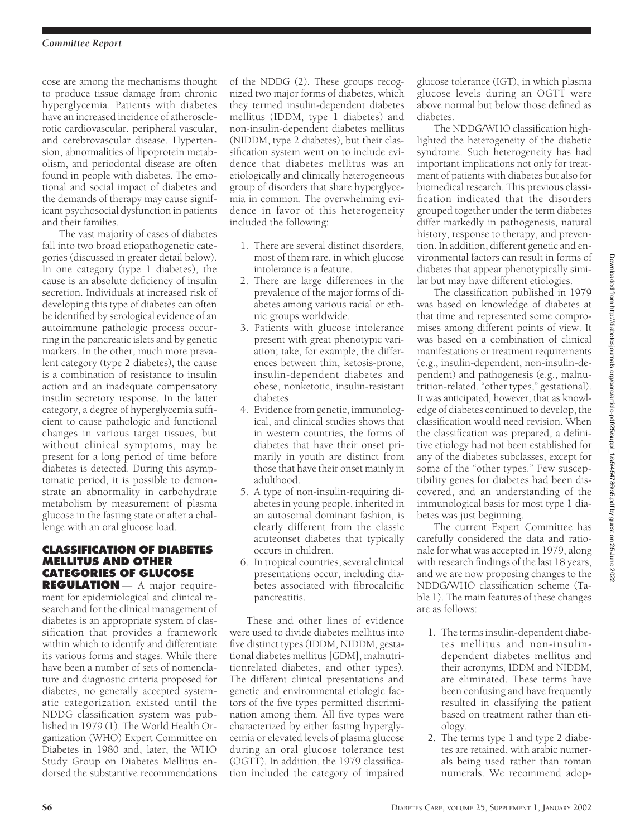cose are among the mechanisms thought to produce tissue damage from chronic hyperglycemia. Patients with diabetes have an increased incidence of atherosclerotic cardiovascular, peripheral vascular, and cerebrovascular disease. Hypertension, abnormalities of lipoprotein metabolism, and periodontal disease are often found in people with diabetes. The emotional and social impact of diabetes and the demands of therapy may cause significant psychosocial dysfunction in patients and their families.

The vast majority of cases of diabetes fall into two broad etiopathogenetic categories (discussed in greater detail below). In one category (type 1 diabetes), the cause is an absolute deficiency of insulin secretion. Individuals at increased risk of developing this type of diabetes can often be identified by serological evidence of an autoimmune pathologic process occurring in the pancreatic islets and by genetic markers. In the other, much more prevalent category (type 2 diabetes), the cause is a combination of resistance to insulin action and an inadequate compensatory insulin secretory response. In the latter category, a degree of hyperglycemia sufficient to cause pathologic and functional changes in various target tissues, but without clinical symptoms, may be present for a long period of time before diabetes is detected. During this asymptomatic period, it is possible to demonstrate an abnormality in carbohydrate metabolism by measurement of plasma glucose in the fasting state or after a challenge with an oral glucose load.

# **CLASSIFICATION OF DIABETES MELLITUS AND OTHER CATEGORIES OF GLUCOSE**

**REGULATION** — A major requirement for epidemiological and clinical research and for the clinical management of diabetes is an appropriate system of classification that provides a framework within which to identify and differentiate its various forms and stages. While there have been a number of sets of nomenclature and diagnostic criteria proposed for diabetes, no generally accepted systematic categorization existed until the NDDG classification system was published in 1979 (1). The World Health Organization (WHO) Expert Committee on Diabetes in 1980 and, later, the WHO Study Group on Diabetes Mellitus endorsed the substantive recommendations

of the NDDG (2). These groups recognized two major forms of diabetes, which they termed insulin-dependent diabetes mellitus (IDDM, type 1 diabetes) and non-insulin-dependent diabetes mellitus (NIDDM, type 2 diabetes), but their classification system went on to include evidence that diabetes mellitus was an etiologically and clinically heterogeneous group of disorders that share hyperglycemia in common. The overwhelming evidence in favor of this heterogeneity included the following:

- 1. There are several distinct disorders, most of them rare, in which glucose intolerance is a feature.
- 2. There are large differences in the prevalence of the major forms of diabetes among various racial or ethnic groups worldwide.
- 3. Patients with glucose intolerance present with great phenotypic variation; take, for example, the differences between thin, ketosis-prone, insulin-dependent diabetes and obese, nonketotic, insulin-resistant diabetes.
- 4. Evidence from genetic, immunological, and clinical studies shows that in western countries, the forms of diabetes that have their onset primarily in youth are distinct from those that have their onset mainly in adulthood.
- 5. A type of non-insulin-requiring diabetes in young people, inherited in an autosomal dominant fashion, is clearly different from the classic acuteonset diabetes that typically occurs in children.
- 6. In tropical countries, several clinical presentations occur, including diabetes associated with fibrocalcific pancreatitis.

These and other lines of evidence were used to divide diabetes mellitus into five distinct types (IDDM, NIDDM, gestational diabetes mellitus [GDM], malnutritionrelated diabetes, and other types). The different clinical presentations and genetic and environmental etiologic factors of the five types permitted discrimination among them. All five types were characterized by either fasting hyperglycemia or elevated levels of plasma glucose during an oral glucose tolerance test (OGTT). In addition, the 1979 classification included the category of impaired

glucose tolerance (IGT), in which plasma glucose levels during an OGTT were above normal but below those defined as diabetes.

The NDDG/WHO classification highlighted the heterogeneity of the diabetic syndrome. Such heterogeneity has had important implications not only for treatment of patients with diabetes but also for biomedical research. This previous classification indicated that the disorders grouped together under the term diabetes differ markedly in pathogenesis, natural history, response to therapy, and prevention. In addition, different genetic and environmental factors can result in forms of diabetes that appear phenotypically similar but may have different etiologies.

The classification published in 1979 was based on knowledge of diabetes at that time and represented some compromises among different points of view. It was based on a combination of clinical manifestations or treatment requirements (e.g., insulin-dependent, non-insulin-dependent) and pathogenesis (e.g., malnutrition-related, "other types," gestational). It was anticipated, however, that as knowledge of diabetes continued to develop, the classification would need revision. When the classification was prepared, a definitive etiology had not been established for any of the diabetes subclasses, except for some of the "other types." Few susceptibility genes for diabetes had been discovered, and an understanding of the immunological basis for most type 1 diabetes was just beginning.

The current Expert Committee has carefully considered the data and rationale for what was accepted in 1979, along with research findings of the last 18 years, and we are now proposing changes to the NDDG/WHO classification scheme (Table 1). The main features of these changes are as follows:

- 1. The terms insulin-dependent diabetes mellitus and non-insulindependent diabetes mellitus and their acronyms, IDDM and NIDDM, are eliminated. These terms have been confusing and have frequently resulted in classifying the patient based on treatment rather than etiology.
- 2. The terms type 1 and type 2 diabetes are retained, with arabic numerals being used rather than roman numerals. We recommend adop-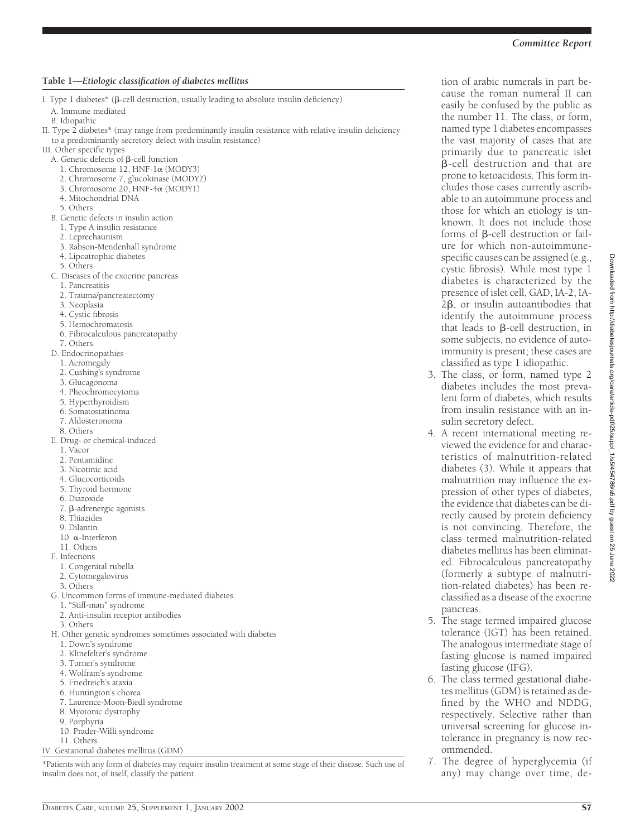# **Table 1—***Etiologic classification of diabetes mellitus*

I. Type 1 diabetes\* ( $\beta$ -cell destruction, usually leading to absolute insulin deficiency)

| A. Immune mediated                                                                                     |
|--------------------------------------------------------------------------------------------------------|
| B. Idiopathic                                                                                          |
| II. Type 2 diabetes* (may range from predominantly insulin resistance with relative insulin deficiency |
| to a predominantly secretory defect with insulin resistance)                                           |
| III. Other specific types                                                                              |
| A. Genetic defects of $\beta$ -cell function                                                           |
| 1. Chromosome 12, $HNF-1\alpha$ (MODY3)                                                                |
| 2. Chromosome 7, glucokinase (MODY2)                                                                   |
| 3. Chromosome 20, $HNF-4\alpha$ (MODY1)                                                                |
| 4. Mitochondrial DNA                                                                                   |
| 5. Others                                                                                              |
|                                                                                                        |
| B. Genetic defects in insulin action                                                                   |
| 1. Type A insulin resistance                                                                           |
| 2. Leprechaunism                                                                                       |
| 3. Rabson-Mendenhall syndrome                                                                          |
| 4. Lipoatrophic diabetes                                                                               |
| 5. Others                                                                                              |
| C. Diseases of the exocrine pancreas                                                                   |
| 1. Pancreatitis                                                                                        |
| 2. Trauma/pancreatectomy                                                                               |
| 3. Neoplasia                                                                                           |
| 4. Cystic fibrosis                                                                                     |
| 5. Hemochromatosis                                                                                     |
| 6. Fibrocalculous pancreatopathy                                                                       |
| 7. Others                                                                                              |
| D. Endocrinopathies                                                                                    |
| 1. Acromegaly                                                                                          |
| 2. Cushing's syndrome                                                                                  |
| 3. Glucagonoma                                                                                         |
| 4. Pheochromocytoma                                                                                    |
| 5. Hyperthyroidism                                                                                     |
| 6. Somatostatinoma                                                                                     |
| 7. Aldosteronoma                                                                                       |
| 8. Others                                                                                              |
| E. Drug- or chemical-induced                                                                           |
| 1. Vacor                                                                                               |
| 2. Pentamidine                                                                                         |
| 3. Nicotinic acid                                                                                      |
| 4. Glucocorticoids                                                                                     |
|                                                                                                        |
| 5. Thyroid hormone                                                                                     |
| 6. Diazoxide                                                                                           |
| $7. \beta$ -adrenergic agonists                                                                        |
| 8. Thiazides                                                                                           |
| 9. Dilantin                                                                                            |
| 10. $\alpha$ -Interferon                                                                               |
| 11. Others                                                                                             |
| F. Infections                                                                                          |
| 1. Congenital rubella                                                                                  |
| 2. Cytomegalovirus                                                                                     |
| 3. Others                                                                                              |
| G. Uncommon forms of immune-mediated diabetes                                                          |
| 1. "Stiff-man" syndrome                                                                                |
| 2. Anti-insulin receptor antibodies                                                                    |
| 3. Others                                                                                              |
| H. Other genetic syndromes sometimes associated with diabetes                                          |
| 1. Down's syndrome                                                                                     |
| 2. Klinefelter's syndrome                                                                              |
| 3. Turner's syndrome                                                                                   |
| 4. Wolfram's syndrome                                                                                  |
| 5. Friedreich's ataxia                                                                                 |
| 6. Huntington's chorea                                                                                 |
| 7 Laurence-Moon-Biedl syndrome                                                                         |

- 7. Laurence-Moon-Biedl syndrome
- 8. Myotonic dystrophy
- 9. Porphyria
- 10. Prader-Willi syndrome
- 11. Others
- IV. Gestational diabetes mellitus (GDM)

\*Patients with any form of diabetes may require insulin treatment at some stage of their disease. Such use of insulin does not, of itself, classify the patient.

tion of arabic numerals in part because the roman numeral II can easily be confused by the public as the number 11. The class, or form, named type 1 diabetes encompasses the vast majority of cases that are primarily due to pancreatic islet -cell destruction and that are prone to ketoacidosis. This form includes those cases currently ascribable to an autoimmune process and those for which an etiology is unknown. It does not include those forms of  $\beta$ -cell destruction or failure for which non-autoimmunespecific causes can be assigned (e.g., cystic fibrosis). While most type 1 diabetes is characterized by the presence of islet cell, GAD, IA-2, IA- $2\beta$ , or insulin autoantibodies that identify the autoimmune process that leads to  $\beta$ -cell destruction, in some subjects, no evidence of autoimmunity is present; these cases are classified as type 1 idiopathic.

- 3. The class, or form, named type 2 diabetes includes the most prevalent form of diabetes, which results from insulin resistance with an insulin secretory defect.
- 4. A recent international meeting reviewed the evidence for and characteristics of malnutrition-related diabetes (3). While it appears that malnutrition may influence the expression of other types of diabetes, the evidence that diabetes can be directly caused by protein deficiency is not convincing. Therefore, the class termed malnutrition-related diabetes mellitus has been eliminated. Fibrocalculous pancreatopathy (formerly a subtype of malnutrition-related diabetes) has been reclassified as a disease of the exocrine pancreas.
- 5. The stage termed impaired glucose tolerance (IGT) has been retained. The analogous intermediate stage of fasting glucose is named impaired fasting glucose (IFG).
- 6. The class termed gestational diabetes mellitus (GDM) is retained as defined by the WHO and NDDG, respectively. Selective rather than universal screening for glucose intolerance in pregnancy is now recommended.
- 7. The degree of hyperglycemia (if any) may change over time, de-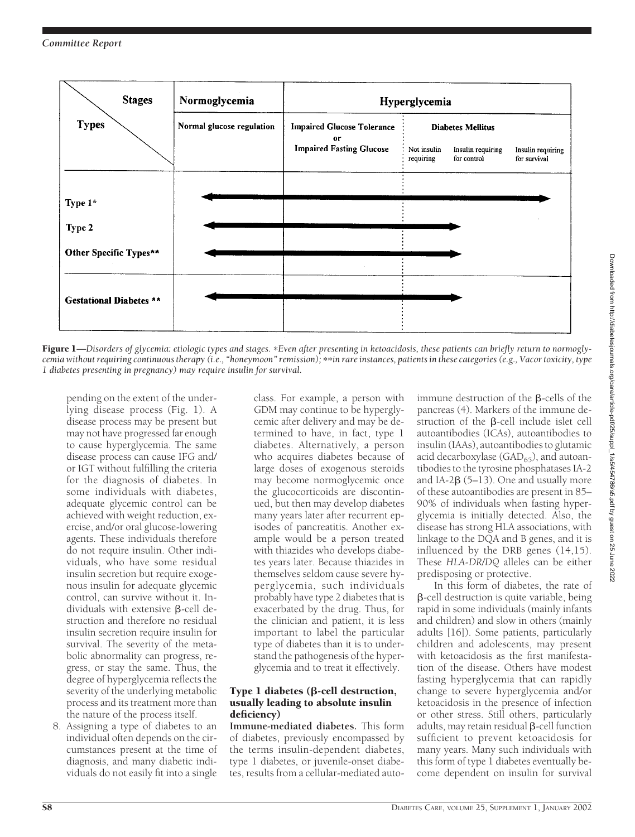

Figure 1—Disorders of glycemia: etiologic types and stages. \*Even after presenting in ketoacidosis, these patients can briefly return to normogly*cemia without requiring continuous therapy (i.e., "honeymoon" remission); in rare instances, patients in these categories (e.g., Vacor toxicity, type 1 diabetes presenting in pregnancy) may require insulin for survival.*

pending on the extent of the underlying disease process (Fig. 1). A disease process may be present but may not have progressed far enough to cause hyperglycemia. The same disease process can cause IFG and/ or IGT without fulfilling the criteria for the diagnosis of diabetes. In some individuals with diabetes, adequate glycemic control can be achieved with weight reduction, exercise, and/or oral glucose-lowering agents. These individuals therefore do not require insulin. Other individuals, who have some residual insulin secretion but require exogenous insulin for adequate glycemic control, can survive without it. Individuals with extensive  $\beta$ -cell destruction and therefore no residual insulin secretion require insulin for survival. The severity of the metabolic abnormality can progress, regress, or stay the same. Thus, the degree of hyperglycemia reflects the severity of the underlying metabolic process and its treatment more than the nature of the process itself.

8. Assigning a type of diabetes to an individual often depends on the circumstances present at the time of diagnosis, and many diabetic individuals do not easily fit into a single

class. For example, a person with GDM may continue to be hyperglycemic after delivery and may be determined to have, in fact, type 1 diabetes. Alternatively, a person who acquires diabetes because of large doses of exogenous steroids may become normoglycemic once the glucocorticoids are discontinued, but then may develop diabetes many years later after recurrent episodes of pancreatitis. Another example would be a person treated with thiazides who develops diabetes years later. Because thiazides in themselves seldom cause severe hyperglycemia, such individuals probably have type 2 diabetes that is exacerbated by the drug. Thus, for the clinician and patient, it is less important to label the particular type of diabetes than it is to understand the pathogenesis of the hyperglycemia and to treat it effectively.

#### Type 1 diabetes ( $\beta$ -cell destruction, usually leading to absolute insulin deficiency)

**Immune-mediated diabetes.** This form of diabetes, previously encompassed by the terms insulin-dependent diabetes, type 1 diabetes, or juvenile-onset diabetes, results from a cellular-mediated autoimmune destruction of the  $\beta$ -cells of the pancreas (4). Markers of the immune destruction of the B-cell include islet cell autoantibodies (ICAs), autoantibodies to insulin (IAAs), autoantibodies to glutamic acid decarboxylase (GAD $_{65}$ ), and autoantibodies to the tyrosine phosphatases IA-2 and IA-2 $\beta$  (5–13). One and usually more of these autoantibodies are present in 85– 90% of individuals when fasting hyperglycemia is initially detected. Also, the disease has strong HLA associations, with linkage to the DQA and B genes, and it is influenced by the DRB genes (14,15). These *HLA-DR/DQ* alleles can be either predisposing or protective.

In this form of diabetes, the rate of -cell destruction is quite variable, being rapid in some individuals (mainly infants and children) and slow in others (mainly adults [16]). Some patients, particularly children and adolescents, may present with ketoacidosis as the first manifestation of the disease. Others have modest fasting hyperglycemia that can rapidly change to severe hyperglycemia and/or ketoacidosis in the presence of infection or other stress. Still others, particularly adults, may retain residual  $\beta$ -cell function sufficient to prevent ketoacidosis for many years. Many such individuals with this form of type 1 diabetes eventually become dependent on insulin for survival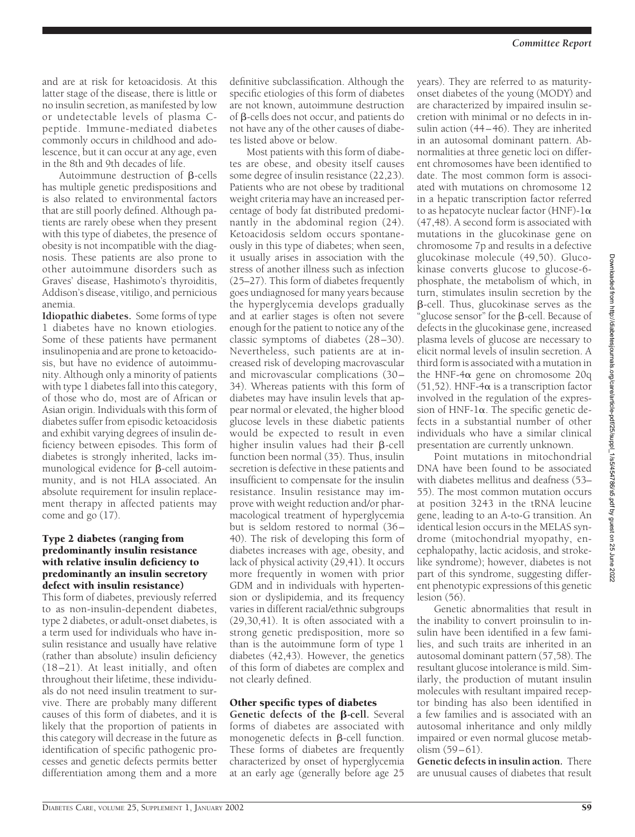and are at risk for ketoacidosis. At this latter stage of the disease, there is little or no insulin secretion, as manifested by low or undetectable levels of plasma Cpeptide. Immune-mediated diabetes commonly occurs in childhood and adolescence, but it can occur at any age, even in the 8th and 9th decades of life.

Autoimmune destruction of  $\beta$ -cells has multiple genetic predispositions and is also related to environmental factors that are still poorly defined. Although patients are rarely obese when they present with this type of diabetes, the presence of obesity is not incompatible with the diagnosis. These patients are also prone to other autoimmune disorders such as Graves' disease, Hashimoto's thyroiditis, Addison's disease, vitiligo, and pernicious anemia.

**Idiopathic diabetes.** Some forms of type 1 diabetes have no known etiologies. Some of these patients have permanent insulinopenia and are prone to ketoacidosis, but have no evidence of autoimmunity. Although only a minority of patients with type 1 diabetes fall into this category, of those who do, most are of African or Asian origin. Individuals with this form of diabetes suffer from episodic ketoacidosis and exhibit varying degrees of insulin deficiency between episodes. This form of diabetes is strongly inherited, lacks immunological evidence for  $\beta$ -cell autoimmunity, and is not HLA associated. An absolute requirement for insulin replacement therapy in affected patients may come and go (17).

#### Type 2 diabetes (ranging from predominantly insulin resistance with relative insulin deficiency to predominantly an insulin secretory defect with insulin resistance)

This form of diabetes, previously referred to as non-insulin-dependent diabetes, type 2 diabetes, or adult-onset diabetes, is a term used for individuals who have insulin resistance and usually have relative (rather than absolute) insulin deficiency (18 –21). At least initially, and often throughout their lifetime, these individuals do not need insulin treatment to survive. There are probably many different causes of this form of diabetes, and it is likely that the proportion of patients in this category will decrease in the future as identification of specific pathogenic processes and genetic defects permits better differentiation among them and a more

definitive subclassification. Although the specific etiologies of this form of diabetes are not known, autoimmune destruction of  $\beta$ -cells does not occur, and patients do not have any of the other causes of diabetes listed above or below.

Most patients with this form of diabetes are obese, and obesity itself causes some degree of insulin resistance (22,23). Patients who are not obese by traditional weight criteria may have an increased percentage of body fat distributed predominantly in the abdominal region (24). Ketoacidosis seldom occurs spontaneously in this type of diabetes; when seen, it usually arises in association with the stress of another illness such as infection (25–27). This form of diabetes frequently goes undiagnosed for many years because the hyperglycemia develops gradually and at earlier stages is often not severe enough for the patient to notice any of the classic symptoms of diabetes (28 –30). Nevertheless, such patients are at increased risk of developing macrovascular and microvascular complications (30 – 34). Whereas patients with this form of diabetes may have insulin levels that appear normal or elevated, the higher blood glucose levels in these diabetic patients would be expected to result in even higher insulin values had their  $\beta$ -cell function been normal (35). Thus, insulin secretion is defective in these patients and insufficient to compensate for the insulin resistance. Insulin resistance may improve with weight reduction and/or pharmacological treatment of hyperglycemia but is seldom restored to normal (36– 40). The risk of developing this form of diabetes increases with age, obesity, and lack of physical activity  $(29, 41)$ . It occurs more frequently in women with prior GDM and in individuals with hypertension or dyslipidemia, and its frequency varies in different racial/ethnic subgroups (29,30,41). It is often associated with a strong genetic predisposition, more so than is the autoimmune form of type 1 diabetes (42,43). However, the genetics of this form of diabetes are complex and not clearly defined.

# Other specific types of diabetes

**Genetic defects of the <b>ß**-cell. Several forms of diabetes are associated with monogenetic defects in  $\beta$ -cell function. These forms of diabetes are frequently characterized by onset of hyperglycemia at an early age (generally before age 25 years). They are referred to as maturityonset diabetes of the young (MODY) and are characterized by impaired insulin secretion with minimal or no defects in insulin action (44–46). They are inherited in an autosomal dominant pattern. Abnormalities at three genetic loci on different chromosomes have been identified to date. The most common form is associated with mutations on chromosome 12 in a hepatic transcription factor referred to as hepatocyte nuclear factor (HNF)- $1\alpha$ (47,48). A second form is associated with mutations in the glucokinase gene on chromosome 7p and results in a defective glucokinase molecule (49,50). Glucokinase converts glucose to glucose-6 phosphate, the metabolism of which, in turn, stimulates insulin secretion by the  $\beta$ -cell. Thus, glucokinase serves as the "glucose sensor" for the  $\beta$ -cell. Because of defects in the glucokinase gene, increased plasma levels of glucose are necessary to elicit normal levels of insulin secretion. A third form is associated with a mutation in the HNF-4 $\alpha$  gene on chromosome 20q  $(51, 52)$ . HNF-4 $\alpha$  is a transcription factor involved in the regulation of the expression of HNF- $1\alpha$ . The specific genetic defects in a substantial number of other individuals who have a similar clinical presentation are currently unknown.

Point mutations in mitochondrial DNA have been found to be associated with diabetes mellitus and deafness (53– 55). The most common mutation occurs at position 3243 in the tRNA leucine gene, leading to an A-to-G transition. An identical lesion occurs in the MELAS syndrome (mitochondrial myopathy, encephalopathy, lactic acidosis, and strokelike syndrome); however, diabetes is not part of this syndrome, suggesting different phenotypic expressions of this genetic lesion (56).

Genetic abnormalities that result in the inability to convert proinsulin to insulin have been identified in a few families, and such traits are inherited in an autosomal dominant pattern (57,58). The resultant glucose intolerance is mild. Similarly, the production of mutant insulin molecules with resultant impaired receptor binding has also been identified in a few families and is associated with an autosomal inheritance and only mildly impaired or even normal glucose metabolism (59–61).

**Genetic defects in insulin action.** There are unusual causes of diabetes that result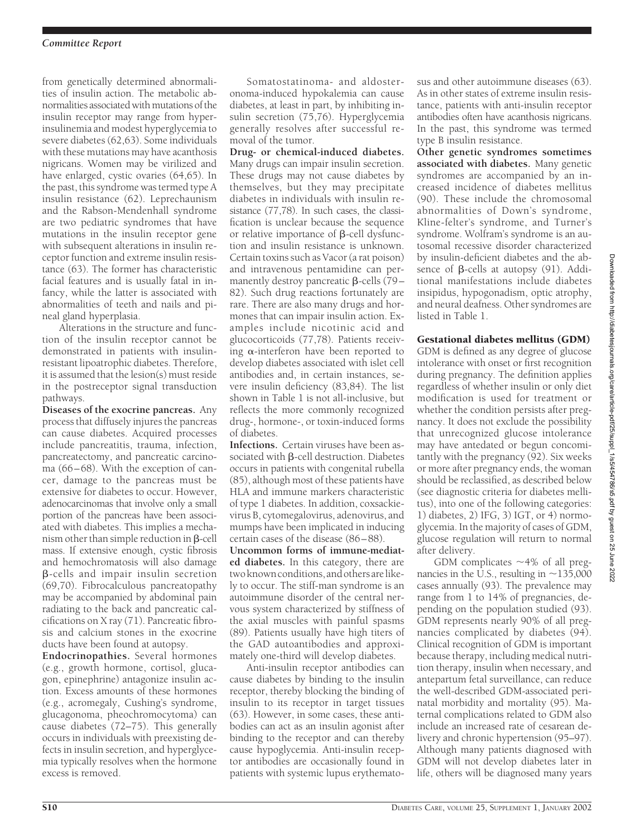from genetically determined abnormalities of insulin action. The metabolic abnormalities associated with mutations of the insulin receptor may range from hyperinsulinemia and modest hyperglycemia to severe diabetes (62,63). Some individuals with these mutations may have acanthosis nigricans. Women may be virilized and have enlarged, cystic ovaries (64,65). In the past, this syndrome was termed type A insulin resistance (62). Leprechaunism and the Rabson-Mendenhall syndrome are two pediatric syndromes that have mutations in the insulin receptor gene with subsequent alterations in insulin receptor function and extreme insulin resistance (63). The former has characteristic facial features and is usually fatal in infancy, while the latter is associated with abnormalities of teeth and nails and pineal gland hyperplasia.

Alterations in the structure and function of the insulin receptor cannot be demonstrated in patients with insulinresistant lipoatrophic diabetes. Therefore, it is assumed that the lesion(s) must reside in the postreceptor signal transduction pathways.

**Diseases of the exocrine pancreas.** Any process that diffusely injures the pancreas can cause diabetes. Acquired processes include pancreatitis, trauma, infection, pancreatectomy, and pancreatic carcinoma (66–68). With the exception of cancer, damage to the pancreas must be extensive for diabetes to occur. However, adenocarcinomas that involve only a small portion of the pancreas have been associated with diabetes. This implies a mechanism other than simple reduction in  $\beta$ -cell mass. If extensive enough, cystic fibrosis and hemochromatosis will also damage -cells and impair insulin secretion (69,70). Fibrocalculous pancreatopathy may be accompanied by abdominal pain radiating to the back and pancreatic calcifications on X ray (71). Pancreatic fibrosis and calcium stones in the exocrine ducts have been found at autopsy.

**Endocrinopathies.** Several hormones (e.g., growth hormone, cortisol, glucagon, epinephrine) antagonize insulin action. Excess amounts of these hormones (e.g., acromegaly, Cushing's syndrome, glucagonoma, pheochromocytoma) can cause diabetes (72–75). This generally occurs in individuals with preexisting defects in insulin secretion, and hyperglycemia typically resolves when the hormone excess is removed.

Somatostatinoma- and aldosteronoma-induced hypokalemia can cause diabetes, at least in part, by inhibiting insulin secretion (75,76). Hyperglycemia generally resolves after successful removal of the tumor.

**Drug- or chemical-induced diabetes.** Many drugs can impair insulin secretion. These drugs may not cause diabetes by themselves, but they may precipitate diabetes in individuals with insulin resistance (77,78). In such cases, the classification is unclear because the sequence or relative importance of  $\beta$ -cell dysfunction and insulin resistance is unknown. Certain toxins such as Vacor (a rat poison) and intravenous pentamidine can permanently destroy pancreatic  $\beta$ -cells (79– 82). Such drug reactions fortunately are rare. There are also many drugs and hormones that can impair insulin action. Examples include nicotinic acid and glucocorticoids (77,78). Patients receiving  $\alpha$ -interferon have been reported to develop diabetes associated with islet cell antibodies and, in certain instances, severe insulin deficiency (83,84). The list shown in Table 1 is not all-inclusive, but reflects the more commonly recognized drug-, hormone-, or toxin-induced forms of diabetes.

**Infections.** Certain viruses have been associated with  $\beta$ -cell destruction. Diabetes occurs in patients with congenital rubella (85), although most of these patients have HLA and immune markers characteristic of type 1 diabetes. In addition, coxsackievirus B, cytomegalovirus, adenovirus, and mumps have been implicated in inducing certain cases of the disease (86–88).

**Uncommon forms of immune-mediated diabetes.** In this category, there are twoknownconditions,andothersarelikely to occur. The stiff-man syndrome is an autoimmune disorder of the central nervous system characterized by stiffness of the axial muscles with painful spasms (89). Patients usually have high titers of the GAD autoantibodies and approximately one-third will develop diabetes.

Anti-insulin receptor antibodies can cause diabetes by binding to the insulin receptor, thereby blocking the binding of insulin to its receptor in target tissues (63). However, in some cases, these antibodies can act as an insulin agonist after binding to the receptor and can thereby cause hypoglycemia. Anti-insulin receptor antibodies are occasionally found in patients with systemic lupus erythemato-

sus and other autoimmune diseases (63). As in other states of extreme insulin resistance, patients with anti-insulin receptor antibodies often have acanthosis nigricans. In the past, this syndrome was termed type B insulin resistance.

**Other genetic syndromes sometimes associated with diabetes.** Many genetic syndromes are accompanied by an increased incidence of diabetes mellitus (90). These include the chromosomal abnormalities of Down's syndrome, Kline-felter's syndrome, and Turner's syndrome. Wolfram's syndrome is an autosomal recessive disorder characterized by insulin-deficient diabetes and the absence of  $\beta$ -cells at autopsy (91). Additional manifestations include diabetes insipidus, hypogonadism, optic atrophy, and neural deafness. Other syndromes are listed in Table 1.

# Gestational diabetes mellitus (GDM)

GDM is defined as any degree of glucose intolerance with onset or first recognition during pregnancy. The definition applies regardless of whether insulin or only diet modification is used for treatment or whether the condition persists after pregnancy. It does not exclude the possibility that unrecognized glucose intolerance may have antedated or begun concomitantly with the pregnancy (92). Six weeks or more after pregnancy ends, the woman should be reclassified, as described below (see diagnostic criteria for diabetes mellitus), into one of the following categories: 1) diabetes, 2) IFG, 3) IGT, or 4) normoglycemia. In the majority of cases of GDM, glucose regulation will return to normal after delivery.

GDM complicates  $\sim$  4% of all pregnancies in the U.S., resulting in  $\sim$ 135,000 cases annually (93). The prevalence may range from 1 to 14% of pregnancies, depending on the population studied (93). GDM represents nearly 90% of all pregnancies complicated by diabetes (94). Clinical recognition of GDM is important because therapy, including medical nutrition therapy, insulin when necessary, and antepartum fetal surveillance, can reduce the well-described GDM-associated perinatal morbidity and mortality (95). Maternal complications related to GDM also include an increased rate of cesarean delivery and chronic hypertension (95–97). Although many patients diagnosed with GDM will not develop diabetes later in life, others will be diagnosed many years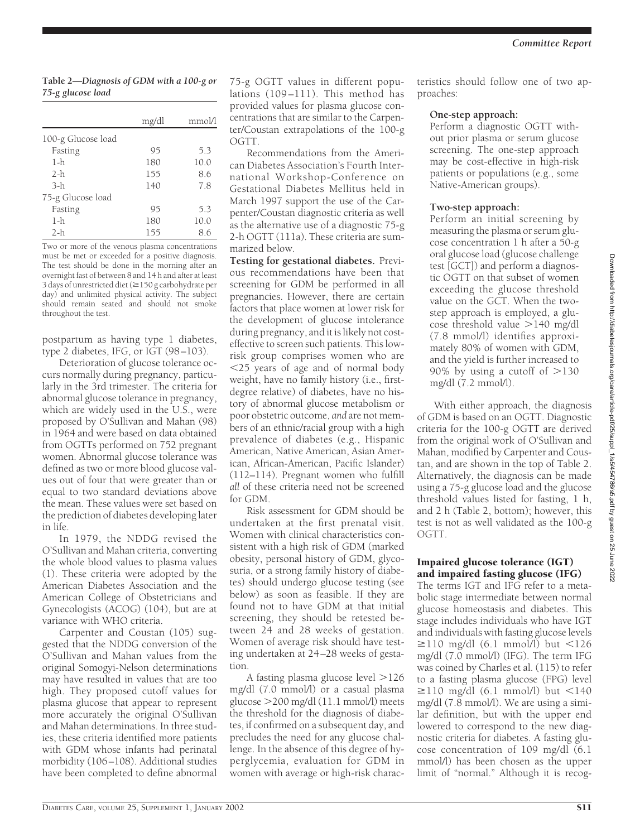# **Table 2—***Diagnosis of GDM with a 100-g or 75-g glucose load*

|                    | mg/dl | mmol/l |
|--------------------|-------|--------|
| 100-g Glucose load |       |        |
| Fasting            | 95    | 5.3    |
| 1-h                | 180   | 10.0   |
| $2-h$              | 155   | 8.6    |
| 3-h                | 140   | 7.8    |
| 75-g Glucose load  |       |        |
| Fasting            | 95    | 5.3    |
| 1-h                | 180   | 10.0   |
| $2-h$              | 155   | 8.6    |

Two or more of the venous plasma concentrations must be met or exceeded for a positive diagnosis. The test should be done in the morning after an overnight fast of between 8 and 14 h and after at least 3 days of unrestricted diet ( $\geq$ 150 g carbohydrate per day) and unlimited physical activity. The subject should remain seated and should not smoke throughout the test.

postpartum as having type 1 diabetes, type 2 diabetes, IFG, or IGT (98–103).

Deterioration of glucose tolerance occurs normally during pregnancy, particularly in the 3rd trimester. The criteria for abnormal glucose tolerance in pregnancy, which are widely used in the U.S., were proposed by O'Sullivan and Mahan (98) in 1964 and were based on data obtained from OGTTs performed on 752 pregnant women. Abnormal glucose tolerance was defined as two or more blood glucose values out of four that were greater than or equal to two standard deviations above the mean. These values were set based on the prediction of diabetes developing later in life.

In 1979, the NDDG revised the O'Sullivan and Mahan criteria, converting the whole blood values to plasma values (1). These criteria were adopted by the American Diabetes Association and the American College of Obstetricians and Gynecologists (ACOG) (104), but are at variance with WHO criteria.

Carpenter and Coustan (105) suggested that the NDDG conversion of the O'Sullivan and Mahan values from the original Somogyi-Nelson determinations may have resulted in values that are too high. They proposed cutoff values for plasma glucose that appear to represent more accurately the original O'Sullivan and Mahan determinations. In three studies, these criteria identified more patients with GDM whose infants had perinatal morbidity (106–108). Additional studies have been completed to define abnormal

75-g OGTT values in different populations (109 –111). This method has provided values for plasma glucose concentrations that are similar to the Carpenter/Coustan extrapolations of the 100-g OGTT.

Recommendations from the American Diabetes Association's Fourth International Workshop-Conference on Gestational Diabetes Mellitus held in March 1997 support the use of the Carpenter/Coustan diagnostic criteria as well as the alternative use of a diagnostic 75-g 2-h OGTT (111a). These criteria are summarized below.

**Testing for gestational diabetes.** Previous recommendations have been that screening for GDM be performed in all pregnancies. However, there are certain factors that place women at lower risk for the development of glucose intolerance during pregnancy, and it is likely not costeffective to screen such patients. This lowrisk group comprises women who are 25 years of age and of normal body weight, have no family history (i.e., firstdegree relative) of diabetes, have no history of abnormal glucose metabolism or poor obstetric outcome, *and* are not members of an ethnic/racial group with a high prevalence of diabetes (e.g., Hispanic American, Native American, Asian American, African-American, Pacific Islander) (112–114). Pregnant women who fulfill *all* of these criteria need not be screened for GDM.

Risk assessment for GDM should be undertaken at the first prenatal visit. Women with clinical characteristics consistent with a high risk of GDM (marked obesity, personal history of GDM, glycosuria, or a strong family history of diabetes) should undergo glucose testing (see below) as soon as feasible. If they are found not to have GDM at that initial screening, they should be retested between 24 and 28 weeks of gestation. Women of average risk should have testing undertaken at 24–28 weeks of gestation.

A fasting plasma glucose level  $>126$ mg/dl (7.0 mmol/l) or a casual plasma glucose 200 mg/dl (11.1 mmol/l) meets the threshold for the diagnosis of diabetes, if confirmed on a subsequent day, and precludes the need for any glucose challenge. In the absence of this degree of hyperglycemia, evaluation for GDM in women with average or high-risk charac-

teristics should follow one of two approaches:

# **One-step approach:**

Perform a diagnostic OGTT without prior plasma or serum glucose screening. The one-step approach may be cost-effective in high-risk patients or populations (e.g., some Native-American groups).

# **Two-step approach:**

Perform an initial screening by measuring the plasma or serum glucose concentration 1 h after a 50-g oral glucose load (glucose challenge test [GCT]) and perform a diagnostic OGTT on that subset of women exceeding the glucose threshold value on the GCT. When the twostep approach is employed, a glucose threshold value  $>140$  mg/dl (7.8 mmol/l) identifies approximately 80% of women with GDM, and the yield is further increased to 90% by using a cutoff of  $>130$ mg/dl (7.2 mmol/l).

With either approach, the diagnosis of GDM is based on an OGTT. Diagnostic criteria for the 100-g OGTT are derived from the original work of O'Sullivan and Mahan, modified by Carpenter and Coustan, and are shown in the top of Table 2. Alternatively, the diagnosis can be made using a 75-g glucose load and the glucose threshold values listed for fasting, 1 h, and 2 h (Table 2, bottom); however, this test is not as well validated as the 100-g OGTT.

# Impaired glucose tolerance (IGT) and impaired fasting glucose (IFG)

The terms IGT and IFG refer to a metabolic stage intermediate between normal glucose homeostasis and diabetes. This stage includes individuals who have IGT and individuals with fasting glucose levels  $\geq$ 110 mg/dl (6.1 mmol/l) but <126 mg/dl (7.0 mmol/l) (IFG). The term IFG was coined by Charles et al. (115) to refer to a fasting plasma glucose (FPG) level  $\geq$ 110 mg/dl (6.1 mmol/l) but <140 mg/dl (7.8 mmol/l). We are using a similar definition, but with the upper end lowered to correspond to the new diagnostic criteria for diabetes. A fasting glucose concentration of 109 mg/dl (6.1 mmol/l) has been chosen as the upper limit of "normal." Although it is recog-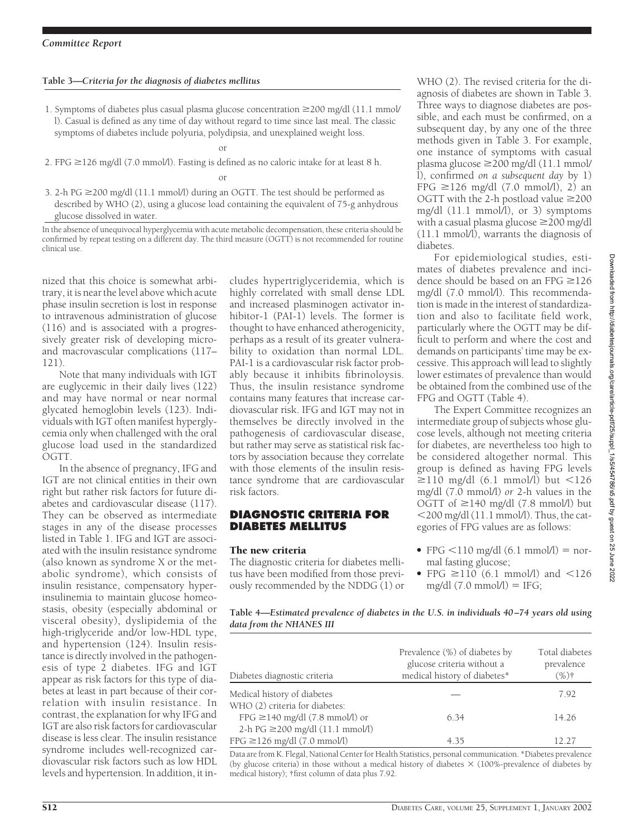#### **Table 3—***Criteria for the diagnosis of diabetes mellitus*

1. Symptoms of diabetes plus casual plasma glucose concentration 200 mg/dl (11.1 mmol/ l). Casual is defined as any time of day without regard to time since last meal. The classic symptoms of diabetes include polyuria, polydipsia, and unexplained weight loss.

or

2. FPG  $\geq$  126 mg/dl (7.0 mmol/l). Fasting is defined as no caloric intake for at least 8 h.

or

3. 2-h PG 200 mg/dl (11.1 mmol/l) during an OGTT. The test should be performed as described by WHO (2), using a glucose load containing the equivalent of 75-g anhydrous glucose dissolved in water.

In the absence of unequivocal hyperglycemia with acute metabolic decompensation, these criteria should be confirmed by repeat testing on a different day. The third measure (OGTT) is not recommended for routine clinical use.

nized that this choice is somewhat arbitrary, it is near the level above which acute phase insulin secretion is lost in response to intravenous administration of glucose (116) and is associated with a progressively greater risk of developing microand macrovascular complications (117– 121).

Note that many individuals with IGT are euglycemic in their daily lives (122) and may have normal or near normal glycated hemoglobin levels (123). Individuals with IGT often manifest hyperglycemia only when challenged with the oral glucose load used in the standardized OGTT.

In the absence of pregnancy, IFG and IGT are not clinical entities in their own right but rather risk factors for future diabetes and cardiovascular disease (117). They can be observed as intermediate stages in any of the disease processes listed in Table 1. IFG and IGT are associated with the insulin resistance syndrome (also known as syndrome X or the metabolic syndrome), which consists of insulin resistance, compensatory hyperinsulinemia to maintain glucose homeostasis, obesity (especially abdominal or visceral obesity), dyslipidemia of the high-triglyceride and/or low-HDL type, and hypertension (124). Insulin resistance is directly involved in the pathogenesis of type 2 diabetes. IFG and IGT appear as risk factors for this type of diabetes at least in part because of their correlation with insulin resistance. In contrast, the explanation for why IFG and IGT are also risk factors for cardiovascular disease is less clear. The insulin resistance syndrome includes well-recognized cardiovascular risk factors such as low HDL levels and hypertension. In addition, it in-

cludes hypertriglyceridemia, which is highly correlated with small dense LDL and increased plasminogen activator inhibitor-1 (PAL-1) levels. The former is thought to have enhanced atherogenicity, perhaps as a result of its greater vulnerability to oxidation than normal LDL. PAI-1 is a cardiovascular risk factor probably because it inhibits fibrinoloysis. Thus, the insulin resistance syndrome contains many features that increase cardiovascular risk. IFG and IGT may not in themselves be directly involved in the pathogenesis of cardiovascular disease, but rather may serve as statistical risk factors by association because they correlate with those elements of the insulin resistance syndrome that are cardiovascular risk factors.

# **DIAGNOSTIC CRITERIA FOR DIABETES MELLITUS**

### The new criteria

The diagnostic criteria for diabetes mellitus have been modified from those previously recommended by the NDDG (1) or WHO (2). The revised criteria for the diagnosis of diabetes are shown in Table 3. Three ways to diagnose diabetes are possible, and each must be confirmed, on a subsequent day, by any one of the three methods given in Table 3. For example, one instance of symptoms with casual plasma glucose 200 mg/dl (11.1 mmol/ l), confirmed *on a subsequent day* by 1) FPG  $\geq$ 126 mg/dl (7.0 mmol/l), 2) an OGTT with the 2-h postload value  $\geq$ 200 mg/dl  $(11.1 \text{ mmol/l})$ , or 3) symptoms with a casual plasma glucose  $\geq$ 200 mg/dl (11.1 mmol/l), warrants the diagnosis of diabetes.

For epidemiological studies, estimates of diabetes prevalence and incidence should be based on an FPG  $\geq$  126 mg/dl (7.0 mmol/l). This recommendation is made in the interest of standardization and also to facilitate field work, particularly where the OGTT may be difficult to perform and where the cost and demands on participants' time may be excessive. This approach will lead to slightly lower estimates of prevalence than would be obtained from the combined use of the FPG and OGTT (Table 4).

The Expert Committee recognizes an intermediate group of subjects whose glucose levels, although not meeting criteria for diabetes, are nevertheless too high to be considered altogether normal. This group is defined as having FPG levels  $\geq$ 110 mg/dl (6.1 mmol/l) but <126 mg/dl (7.0 mmol/l) *or* 2-h values in the OGTT of  $\geq$ 140 mg/dl (7.8 mmol/l) but  $<$ 200 mg/dl (11.1 mmol/l). Thus, the categories of FPG values are as follows:

- FPG  $<$ 110 mg/dl (6.1 mmol/l) = normal fasting glucose;
- $FPG \ge 110$  (6.1 mmol/l) and  $\le 126$  $mg/dl$  (7.0 mmol/l) = IFG;

**Table 4—***Estimated prevalence of diabetes in the U.S. in individuals 40–74 years old using data from the NHANES III*

| Diabetes diagnostic criteria              | Prevalence (%) of diabetes by<br>glucose criteria without a<br>medical history of diabetes* | Total diabetes<br>prevalence<br>$(\%)^+$ |
|-------------------------------------------|---------------------------------------------------------------------------------------------|------------------------------------------|
| Medical history of diabetes               |                                                                                             | 7.92                                     |
| WHO (2) criteria for diabetes:            |                                                                                             |                                          |
| $FPG \geq 140$ mg/dl (7.8 mmol/l) or      | 6.34                                                                                        | 14.26                                    |
| 2-h PG ≥200 mg/dl $(11.1 \text{ mmol/l})$ |                                                                                             |                                          |
| $FPG \geq 126$ mg/dl (7.0 mmol/l)         | 4.35                                                                                        | 12.27                                    |
|                                           |                                                                                             |                                          |

Data are from K. Flegal, National Center for Health Statistics, personal communication. \*Diabetes prevalence (by glucose criteria) in those without a medical history of diabetes  $\times$  (100%-prevalence of diabetes by medical history); †first column of data plus 7.92.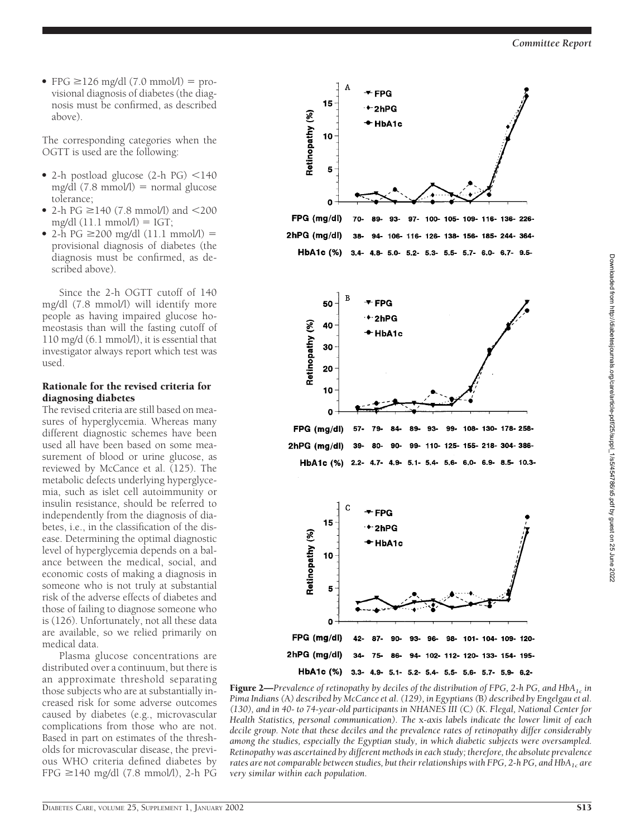• FPG  $\geq$  126 mg/dl (7.0 mmol/l) = provisional diagnosis of diabetes (the diagnosis must be confirmed, as described above).

The corresponding categories when the OGTT is used are the following:

- $\bullet$  2-h postload glucose (2-h PG)  $\leq$  140 mg/dl  $(7.8 \text{ mmol/l}) =$  normal glucose tolerance;
- 2-h  $PG \ge 140$  (7.8 mmol/l) and  $\le 200$  $mg/dl$  (11.1 mmol/l) = IGT;
- 2-h PG  $\geq$  200 mg/dl (11.1 mmol/l) = provisional diagnosis of diabetes (the diagnosis must be confirmed, as described above).

Since the 2-h OGTT cutoff of 140 mg/dl (7.8 mmol/l) will identify more people as having impaired glucose homeostasis than will the fasting cutoff of 110 mg/d (6.1 mmol/l), it is essential that investigator always report which test was used.

### Rationale for the revised criteria for diagnosing diabetes

The revised criteria are still based on measures of hyperglycemia. Whereas many different diagnostic schemes have been used all have been based on some measurement of blood or urine glucose, as reviewed by McCance et al. (125). The metabolic defects underlying hyperglycemia, such as islet cell autoimmunity or insulin resistance, should be referred to independently from the diagnosis of diabetes, i.e., in the classification of the disease. Determining the optimal diagnostic level of hyperglycemia depends on a balance between the medical, social, and economic costs of making a diagnosis in someone who is not truly at substantial risk of the adverse effects of diabetes and those of failing to diagnose someone who is (126). Unfortunately, not all these data are available, so we relied primarily on medical data.

Plasma glucose concentrations are distributed over a continuum, but there is an approximate threshold separating those subjects who are at substantially increased risk for some adverse outcomes caused by diabetes (e.g., microvascular complications from those who are not. Based in part on estimates of the thresholds for microvascular disease, the previous WHO criteria defined diabetes by FPG  $\geq$ 140 mg/dl (7.8 mmol/l), 2-h PG



HbA1c (%) 3.3- 4.9- 5.1- 5.2- 5.4- 5.5- 5.6- 5.7- 5.9- 6.2-

Figure 2—*Prevalence of retinopathy by deciles of the distribution of FPG, 2-h PG, and HbA<sub>1c</sub> in Pima Indians (*A*) described by McCance et al. (129), in Egyptians (*B*) described by Engelgau et al. (130), and in 40- to 74-year-old participants in NHANES III (*C*) (K. Flegal, National Center for Health Statistics, personal communication). The* x*-axis labels indicate the lower limit of each decile group. Note that these deciles and the prevalence rates of retinopathy differ considerably among the studies, especially the Egyptian study, in which diabetic subjects were oversampled. Retinopathy was ascertained by different methods in each study; therefore, the absolute prevalence rates are not comparable between studies, but their relationships with FPG, 2-h PG, and HbA<sub>1c</sub> are very similar within each population.*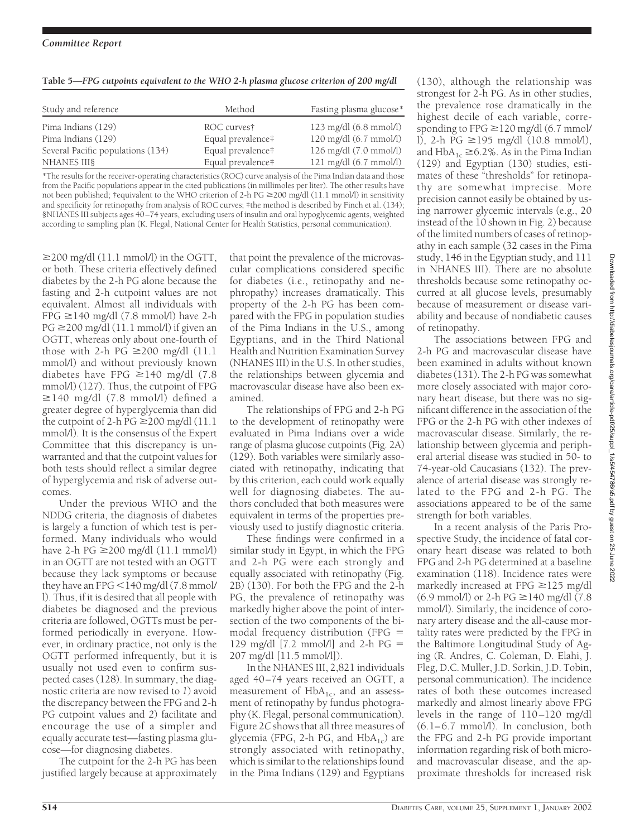**Table 5—***FPG cutpoints equivalent to the WHO 2-h plasma glucose criterion of 200 mg/dl*

| Study and reference                      | Method                           | Fasting plasma glucose*                                                              |
|------------------------------------------|----------------------------------|--------------------------------------------------------------------------------------|
| Pima Indians (129)<br>Pima Indians (129) | ROC curves†<br>Equal prevalence# | $123 \text{ mg/dl} (6.8 \text{ mmol/l})$<br>$120 \text{ mg/dl} (6.7 \text{ mmol/l})$ |
| Several Pacific populations (134)        | Equal prevalence#                | 126 mg/dl (7.0 mmol/l)                                                               |
| NHANES III§                              | Equal prevalence#                | $121 \text{ mg/dl} (6.7 \text{ mmol/l})$                                             |

\*The results for the receiver-operating characteristics (ROC) curve analysis of the Pima Indian data and those from the Pacific populations appear in the cited publications (in millimoles per liter). The other results have not been published; †equivalent to the WHO criterion of 2-h PG  $\geq$ 200 mg/dl (11.1 mmol/l) in sensitivity and specificity for retinopathy from analysis of ROC curves; #the method is described by Finch et al. (134); §NHANES III subjects ages 40–74 years, excluding users of insulin and oral hypoglycemic agents, weighted according to sampling plan (K. Flegal, National Center for Health Statistics, personal communication).

 $\geq$ 200 mg/dl (11.1 mmol/l) in the OGTT, or both. These criteria effectively defined diabetes by the 2-h PG alone because the fasting and 2-h cutpoint values are not equivalent. Almost all individuals with FPG  $\geq$ 140 mg/dl (7.8 mmol/l) have 2-h  $PG \geq 200$  mg/dl (11.1 mmol/l) if given an OGTT, whereas only about one-fourth of those with 2-h PG  $\geq$ 200 mg/dl (11.1) mmol/l) and without previously known diabetes have FPG  $\geq$  140 mg/dl (7.8) mmol/l) (127). Thus, the cutpoint of FPG  $\geq$ 140 mg/dl (7.8 mmol/l) defined a greater degree of hyperglycemia than did the cutpoint of 2-h  $PG \ge 200$  mg/dl (11.1) mmol/l). It is the consensus of the Expert Committee that this discrepancy is unwarranted and that the cutpoint values for both tests should reflect a similar degree of hyperglycemia and risk of adverse outcomes.

Under the previous WHO and the NDDG criteria, the diagnosis of diabetes is largely a function of which test is performed. Many individuals who would have 2-h PG  $\geq$  200 mg/dl (11.1 mmol/l) in an OGTT are not tested with an OGTT because they lack symptoms or because they have an FPG  $<$  140 mg/dl (7.8 mmol/ l). Thus, if it is desired that all people with diabetes be diagnosed and the previous criteria are followed, OGTTs must be performed periodically in everyone. However, in ordinary practice, not only is the OGTT performed infrequently, but it is usually not used even to confirm suspected cases (128). In summary, the diagnostic criteria are now revised to *1*) avoid the discrepancy between the FPG and 2-h PG cutpoint values and *2*) facilitate and encourage the use of a simpler and equally accurate test—fasting plasma glucose—for diagnosing diabetes.

The cutpoint for the 2-h PG has been justified largely because at approximately that point the prevalence of the microvascular complications considered specific for diabetes (i.e., retinopathy and nephropathy) increases dramatically. This property of the 2-h PG has been compared with the FPG in population studies of the Pima Indians in the U.S., among Egyptians, and in the Third National Health and Nutrition Examination Survey (NHANES III) in the U.S. In other studies, the relationships between glycemia and macrovascular disease have also been examined.

The relationships of FPG and 2-h PG to the development of retinopathy were evaluated in Pima Indians over a wide range of plasma glucose cutpoints (Fig. 2A) (129). Both variables were similarly associated with retinopathy, indicating that by this criterion, each could work equally well for diagnosing diabetes. The authors concluded that both measures were equivalent in terms of the properties previously used to justify diagnostic criteria.

These findings were confirmed in a similar study in Egypt, in which the FPG and 2-h PG were each strongly and equally associated with retinopathy (Fig. 2B) (130). For both the FPG and the 2-h PG, the prevalence of retinopathy was markedly higher above the point of intersection of the two components of the bimodal frequency distribution (FPG 129 mg/dl [7.2 mmol/l] and 2-h PG = 207 mg/dl [11.5 mmol/l]).

In the NHANES III, 2,821 individuals aged 40–74 years received an OGTT, a measurement of HbA<sub>1c</sub>, and an assessment of retinopathy by fundus photography (K. Flegal, personal communication). Figure 2*C* shows that all three measures of glycemia (FPG, 2-h PG, and  $HbA_{1c}$ ) are strongly associated with retinopathy, which is similar to the relationships found in the Pima Indians (129) and Egyptians

(130), although the relationship was strongest for 2-h PG. As in other studies, the prevalence rose dramatically in the highest decile of each variable, corresponding to  $FPG \ge 120$  mg/dl (6.7 mmol/ l), 2-h PG ≥195 mg/dl (10.8 mmol/l), and  $HbA_{1c} \geq 6.2\%$ . As in the Pima Indian (129) and Egyptian (130) studies, estimates of these "thresholds" for retinopathy are somewhat imprecise. More precision cannot easily be obtained by using narrower glycemic intervals (e.g., 20 instead of the 10 shown in Fig. 2) because of the limited numbers of cases of retinopathy in each sample (32 cases in the Pima study, 146 in the Egyptian study, and 111 in NHANES III). There are no absolute thresholds because some retinopathy occurred at all glucose levels, presumably because of measurement or disease variability and because of nondiabetic causes of retinopathy.

The associations between FPG and 2-h PG and macrovascular disease have been examined in adults without known diabetes (131). The 2-h PG was somewhat more closely associated with major coronary heart disease, but there was no significant difference in the association of the FPG or the 2-h PG with other indexes of macrovascular disease. Similarly, the relationship between glycemia and peripheral arterial disease was studied in 50- to 74-year-old Caucasians (132). The prevalence of arterial disease was strongly related to the FPG and 2-h PG. The associations appeared to be of the same strength for both variables.

In a recent analysis of the Paris Prospective Study, the incidence of fatal coronary heart disease was related to both FPG and 2-h PG determined at a baseline examination (118). Incidence rates were markedly increased at FPG  $\geq$ 125 mg/dl  $(6.9 \text{ mmol/l})$  or 2-h PG  $\geq$  140 mg/dl (7.8) mmol/l). Similarly, the incidence of coronary artery disease and the all-cause mortality rates were predicted by the FPG in the Baltimore Longitudinal Study of Aging (R. Andres, C. Coleman, D. Elahi, J. Fleg, D.C. Muller, J.D. Sorkin, J.D. Tobin, personal communication). The incidence rates of both these outcomes increased markedly and almost linearly above FPG levels in the range of 110 –120 mg/dl (6.1–6.7 mmol/l). In conclusion, both the FPG and 2-h PG provide important information regarding risk of both microand macrovascular disease, and the approximate thresholds for increased risk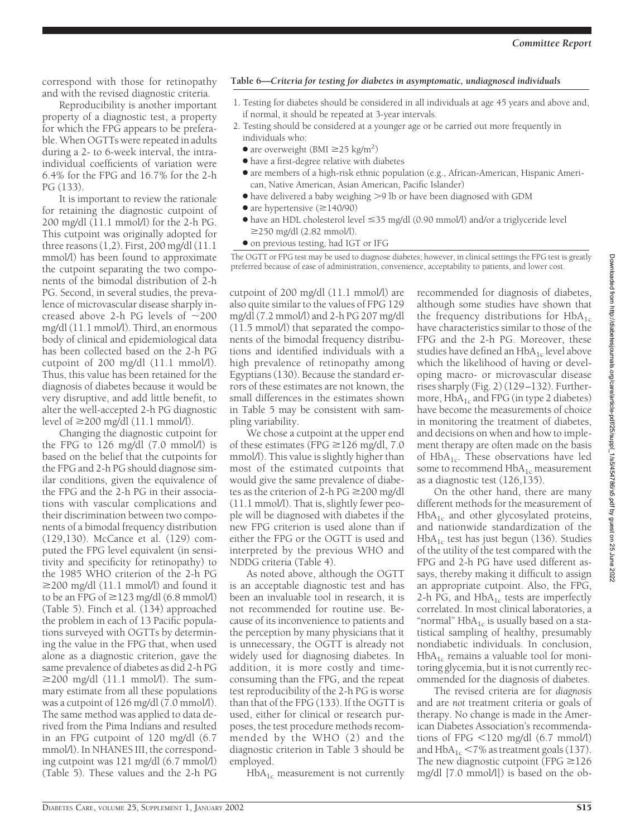correspond with those for retinopathy and with the revised diagnostic criteria.

Reproducibility is another important property of a diagnostic test, a property for which the FPG appears to be preferable. When OGTTs were repeated in adults during a 2- to 6-week interval, the intraindividual coefficients of variation were 6.4% for the FPG and 16.7% for the 2-h PG (133).

It is important to review the rationale for retaining the diagnostic cutpoint of 200 mg/dl (11.1 mmol/l) for the 2-h PG. This cutpoint was originally adopted for three reasons (1,2). First, 200 mg/dl (11.1 mmol/l) has been found to approximate the cutpoint separating the two components of the bimodal distribution of 2-h PG. Second, in several studies, the prevalence of microvascular disease sharply increased above 2-h PG levels of  $\sim$ 200 mg/dl (11.1 mmol/l). Third, an enormous body of clinical and epidemiological data has been collected based on the 2-h PG cutpoint of 200 mg/dl (11.1 mmol/l). Thus, this value has been retained for the diagnosis of diabetes because it would be very disruptive, and add little benefit, to alter the well-accepted 2-h PG diagnostic level of  $\geq$ 200 mg/dl (11.1 mmol/l).

Changing the diagnostic cutpoint for the FPG to 126 mg/dl (7.0 mmol/l) is based on the belief that the cutpoints for the FPG and 2-h PG should diagnose similar conditions, given the equivalence of the FPG and the 2-h PG in their associations with vascular complications and their discrimination between two components of a bimodal frequency distribution (129,130). McCance et al. (129) computed the FPG level equivalent (in sensitivity and specificity for retinopathy) to the 1985 WHO criterion of the 2-h PG  $\geq$ 200 mg/dl (11.1 mmol/l) and found it to be an FPG of  $\geq$  123 mg/dl (6.8 mmol/l) (Table 5). Finch et al. (134) approached the problem in each of 13 Pacific populations surveyed with OGTTs by determining the value in the FPG that, when used alone as a diagnostic criterion, gave the same prevalence of diabetes as did 2-h PG  $\geq$ 200 mg/dl (11.1 mmol/l). The summary estimate from all these populations was a cutpoint of 126 mg/dl (7.0 mmol/l). The same method was applied to data derived from the Pima Indians and resulted in an FPG cutpoint of 120 mg/dl (6.7 mmol/l). In NHANES III, the corresponding cutpoint was 121 mg/dl (6.7 mmol/l) (Table 5). These values and the 2-h PG

#### **Table 6—***Criteria for testing for diabetes in asymptomatic, undiagnosed individuals*

- 1. Testing for diabetes should be considered in all individuals at age 45 years and above and, if normal, it should be repeated at 3-year intervals.
- 2. Testing should be considered at a younger age or be carried out more frequently in individuals who:
	- are overweight (BMI  $\geq$  25 kg/m<sup>2</sup>)
	- have a first-degree relative with diabetes
	- are members of a high-risk ethnic population (e.g., African-American, Hispanic American, Native American, Asian American, Pacific Islander)
	- have delivered a baby weighing 9 lb or have been diagnosed with GDM
	- are hypertensive  $(\geq 140/90)$
	- have an HDL cholesterol level ≤35 mg/dl (0.90 mmol/l) and/or a triglyceride level  $\geq$ 250 mg/dl (2.82 mmol/l).
	- on previous testing, had IGT or IFG

The OGTT or FPG test may be used to diagnose diabetes; however, in clinical settings the FPG test is greatly preferred because of ease of administration, convenience, acceptability to patients, and lower cost.

cutpoint of 200 mg/dl (11.1 mmol/l) are also quite similar to the values of FPG 129 mg/dl (7.2 mmol/l) and 2-h PG 207 mg/dl (11.5 mmol/l) that separated the components of the bimodal frequency distributions and identified individuals with a high prevalence of retinopathy among Egyptians (130). Because the standard errors of these estimates are not known, the small differences in the estimates shown in Table 5 may be consistent with sampling variability.

We chose a cutpoint at the upper end of these estimates (FPG  $\geq$  126 mg/dl, 7.0 mmol/l). This value is slightly higher than most of the estimated cutpoints that would give the same prevalence of diabetes as the criterion of 2-h PG  $\geq$  200 mg/dl (11.1 mmol/l). That is, slightly fewer people will be diagnosed with diabetes if the new FPG criterion is used alone than if either the FPG or the OGTT is used and interpreted by the previous WHO and NDDG criteria (Table 4).

As noted above, although the OGTT is an acceptable diagnostic test and has been an invaluable tool in research, it is not recommended for routine use. Because of its inconvenience to patients and the perception by many physicians that it is unnecessary, the OGTT is already not widely used for diagnosing diabetes. In addition, it is more costly and timeconsuming than the FPG, and the repeat test reproducibility of the 2-h PG is worse than that of the FPG (133). If the OGTT is used, either for clinical or research purposes, the test procedure methods recommended by the WHO (2) and the diagnostic criterion in Table 3 should be employed.

recommended for diagnosis of diabetes, although some studies have shown that the frequency distributions for  $HbA_{1c}$ have characteristics similar to those of the FPG and the 2-h PG. Moreover, these studies have defined an  $HbA_{1c}$  level above which the likelihood of having or developing macro- or microvascular disease rises sharply (Fig. 2) (129–132). Furthermore,  $HbA_{1c}$  and FPG (in type 2 diabetes) have become the measurements of choice in monitoring the treatment of diabetes, and decisions on when and how to implement therapy are often made on the basis of  $HbA_{1c}$ . These observations have led some to recommend  $HbA_{1c}$  measurement as a diagnostic test (126,135).

On the other hand, there are many different methods for the measurement of  $HbA_{1c}$  and other glycosylated proteins, and nationwide standardization of the  $HbA_{1c}$  test has just begun (136). Studies of the utility of the test compared with the FPG and 2-h PG have used different assays, thereby making it difficult to assign an appropriate cutpoint. Also, the FPG, 2-h PG, and  $HbA_{1c}$  tests are imperfectly correlated. In most clinical laboratories, a "normal"  $HbA_{1c}$  is usually based on a statistical sampling of healthy, presumably nondiabetic individuals. In conclusion,  $HbA<sub>1c</sub>$  remains a valuable tool for monitoring glycemia, but it is not currently recommended for the diagnosis of diabetes.

The revised criteria are for *diagnosis* and are *not* treatment criteria or goals of therapy. No change is made in the American Diabetes Association's recommendations of FPG  $\langle 120 \text{ mg/dl} (6.7 \text{ mmol/l})$ and  $HbA_{1c}$  < 7% as treatment goals (137). The new diagnostic cutpoint (FPG  $\geq$  126 mg/dl [7.0 mmol/l]) is based on the ob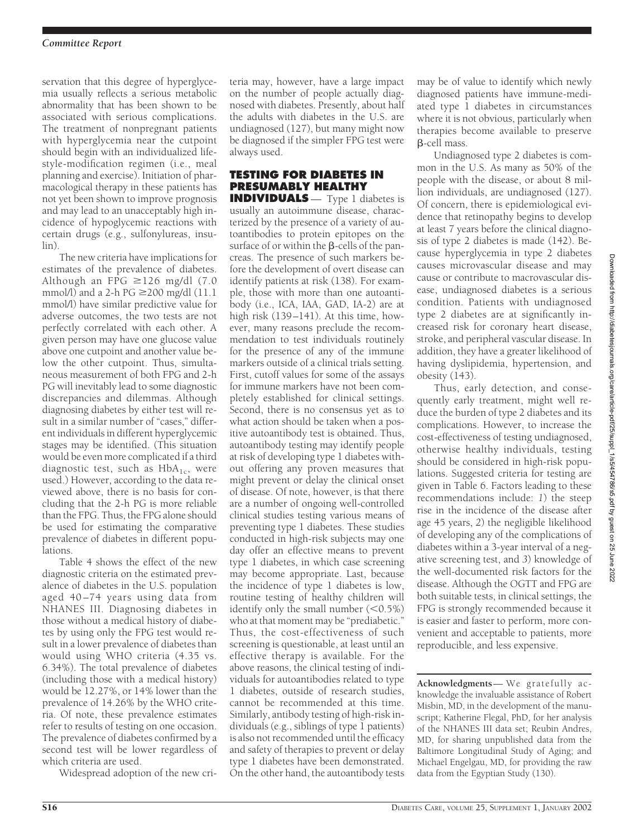servation that this degree of hyperglycemia usually reflects a serious metabolic abnormality that has been shown to be associated with serious complications. The treatment of nonpregnant patients with hyperglycemia near the cutpoint should begin with an individualized lifestyle-modification regimen (i.e., meal planning and exercise). Initiation of pharmacological therapy in these patients has not yet been shown to improve prognosis and may lead to an unacceptably high incidence of hypoglycemic reactions with certain drugs (e.g., sulfonylureas, insulin).

The new criteria have implications for estimates of the prevalence of diabetes. Although an FPG  $\geq$ 126 mg/dl (7.0) mmol/l) and a 2-h PG  $\geq$ 200 mg/dl (11.1) mmol/l) have similar predictive value for adverse outcomes, the two tests are not perfectly correlated with each other. A given person may have one glucose value above one cutpoint and another value below the other cutpoint. Thus, simultaneous measurement of both FPG and 2-h PG will inevitably lead to some diagnostic discrepancies and dilemmas. Although diagnosing diabetes by either test will result in a similar number of "cases," different individuals in different hyperglycemic stages may be identified. (This situation would be even more complicated if a third diagnostic test, such as  $HbA_{1c}$ , were used.) However, according to the data reviewed above, there is no basis for concluding that the 2-h PG is more reliable than the FPG. Thus, the FPG alone should be used for estimating the comparative prevalence of diabetes in different populations.

Table 4 shows the effect of the new diagnostic criteria on the estimated prevalence of diabetes in the U.S. population aged 40 –74 years using data from NHANES III. Diagnosing diabetes in those without a medical history of diabetes by using only the FPG test would result in a lower prevalence of diabetes than would using WHO criteria (4.35 vs. 6.34%). The total prevalence of diabetes (including those with a medical history) would be 12.27%, or 14% lower than the prevalence of 14.26% by the WHO criteria. Of note, these prevalence estimates refer to results of testing on one occasion. The prevalence of diabetes confirmed by a second test will be lower regardless of which criteria are used.

Widespread adoption of the new cri-

teria may, however, have a large impact on the number of people actually diagnosed with diabetes. Presently, about half the adults with diabetes in the U.S. are undiagnosed (127), but many might now be diagnosed if the simpler FPG test were always used.

# **TESTING FOR DIABETES IN PRESUMABLY HEALTHY**

**INDIVIDUALS** — Type 1 diabetes is usually an autoimmune disease, characterized by the presence of a variety of autoantibodies to protein epitopes on the surface of or within the  $\beta$ -cells of the pancreas. The presence of such markers before the development of overt disease can identify patients at risk (138). For example, those with more than one autoantibody (i.e., ICA, IAA, GAD, IA-2) are at high risk (139–141). At this time, however, many reasons preclude the recommendation to test individuals routinely for the presence of any of the immune markers outside of a clinical trials setting. First, cutoff values for some of the assays for immune markers have not been completely established for clinical settings. Second, there is no consensus yet as to what action should be taken when a positive autoantibody test is obtained. Thus, autoantibody testing may identify people at risk of developing type 1 diabetes without offering any proven measures that might prevent or delay the clinical onset of disease. Of note, however, is that there are a number of ongoing well-controlled clinical studies testing various means of preventing type 1 diabetes. These studies conducted in high-risk subjects may one day offer an effective means to prevent type 1 diabetes, in which case screening may become appropriate. Last, because the incidence of type 1 diabetes is low, routine testing of healthy children will identify only the small number  $(< 0.5\%)$ who at that moment may be "prediabetic." Thus, the cost-effectiveness of such screening is questionable, at least until an effective therapy is available. For the above reasons, the clinical testing of individuals for autoantibodies related to type 1 diabetes, outside of research studies, cannot be recommended at this time. Similarly, antibody testing of high-risk individuals (e.g., siblings of type 1 patients) is also not recommended until the efficacy and safety of therapies to prevent or delay type 1 diabetes have been demonstrated. On the other hand, the autoantibody tests

may be of value to identify which newly diagnosed patients have immune-mediated type 1 diabetes in circumstances where it is not obvious, particularly when therapies become available to preserve -cell mass.

Undiagnosed type 2 diabetes is common in the U.S. As many as 50% of the people with the disease, or about 8 million individuals, are undiagnosed (127). Of concern, there is epidemiological evidence that retinopathy begins to develop at least 7 years before the clinical diagnosis of type 2 diabetes is made (142). Because hyperglycemia in type 2 diabetes causes microvascular disease and may cause or contribute to macrovascular disease, undiagnosed diabetes is a serious condition. Patients with undiagnosed type 2 diabetes are at significantly increased risk for coronary heart disease, stroke, and peripheral vascular disease. In addition, they have a greater likelihood of having dyslipidemia, hypertension, and obesity (143).

Thus, early detection, and consequently early treatment, might well reduce the burden of type 2 diabetes and its complications. However, to increase the cost-effectiveness of testing undiagnosed, otherwise healthy individuals, testing should be considered in high-risk populations. Suggested criteria for testing are given in Table 6. Factors leading to these recommendations include: *1*) the steep rise in the incidence of the disease after age 45 years, *2*) the negligible likelihood of developing any of the complications of diabetes within a 3-year interval of a negative screening test, and *3*) knowledge of the well-documented risk factors for the disease. Although the OGTT and FPG are both suitable tests, in clinical settings, the FPG is strongly recommended because it is easier and faster to perform, more convenient and acceptable to patients, more reproducible, and less expensive.

**Acknowledgments**— We gratefully acknowledge the invaluable assistance of Robert Misbin, MD, in the development of the manuscript; Katherine Flegal, PhD, for her analysis of the NHANES III data set; Reubin Andres, MD, for sharing unpublished data from the Baltimore Longitudinal Study of Aging; and Michael Engelgau, MD, for providing the raw data from the Egyptian Study (130).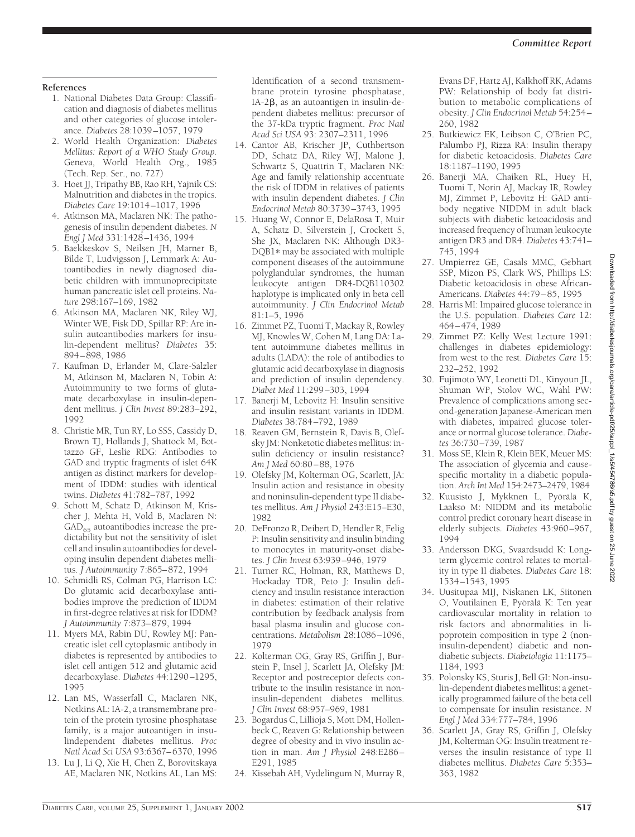### **References**

- 1. National Diabetes Data Group: Classification and diagnosis of diabetes mellitus and other categories of glucose intolerance. *Diabetes* 28:1039–1057, 1979
- 2. World Health Organization: *Diabetes Mellitus: Report of a WHO Study Group.* Geneva, World Health Org., 1985 (Tech. Rep. Ser., no. 727)
- 3. Hoet JJ, Tripathy BB, Rao RH, Yajnik CS: Malnutrition and diabetes in the tropics. *Diabetes Care* 19:1014–1017, 1996
- 4. Atkinson MA, Maclaren NK: The pathogenesis of insulin dependent diabetes. *N Engl J Med* 331:1428–1436, 1994
- 5. Baekkeskov S, Neilsen JH, Marner B, Bilde T, Ludvigsson J, Lernmark A: Autoantibodies in newly diagnosed diabetic children with immunoprecipitate human pancreatic islet cell proteins. *Nature* 298:167–169, 1982
- 6. Atkinson MA, Maclaren NK, Riley WJ, Winter WE, Fisk DD, Spillar RP: Are insulin autoantibodies markers for insulin-dependent mellitus? *Diabetes* 35: 894–898, 1986
- 7. Kaufman D, Erlander M, Clare-Salzler M, Atkinson M, Maclaren N, Tobin A: Autoimmunity to two forms of glutamate decarboxylase in insulin-dependent mellitus. *J Clin Invest* 89:283–292, 1992
- 8. Christie MR, Tun RY, Lo SSS, Cassidy D, Brown TJ, Hollands J, Shattock M, Bottazzo GF, Leslie RDG: Antibodies to GAD and tryptic fragments of islet 64K antigen as distinct markers for development of IDDM: studies with identical twins. *Diabetes* 41:782–787, 1992
- 9. Schott M, Schatz D, Atkinson M, Krischer J, Mehta H, Vold B, Maclaren N:  $GAD_{65}$  autoantibodies increase the predictability but not the sensitivity of islet cell and insulin autoantibodies for developing insulin dependent diabetes mellitus. *J Autoimmunity* 7:865–872, 1994
- 10. Schmidli RS, Colman PG, Harrison LC: Do glutamic acid decarboxylase antibodies improve the prediction of IDDM in first-degree relatives at risk for IDDM? *J Autoimmunity* 7:873–879, 1994
- 11. Myers MA, Rabin DU, Rowley MJ: Pancreatic islet cell cytoplasmic antibody in diabetes is represented by antibodies to islet cell antigen 512 and glutamic acid decarboxylase. *Diabetes* 44:1290–1295, 1995
- 12. Lan MS, Wasserfall C, Maclaren NK, Notkins AL: IA-2, a transmembrane protein of the protein tyrosine phosphatase family, is a major autoantigen in insulindependent diabetes mellitus. *Proc Natl Acad Sci USA* 93:6367–6370, 1996
- 13. Lu J, Li Q, Xie H, Chen Z, Borovitskaya AE, Maclaren NK, Notkins AL, Lan MS:

Identification of a second transmembrane protein tyrosine phosphatase,  $IA-2\beta$ , as an autoantigen in insulin-dependent diabetes mellitus: precursor of the 37-kDa tryptic fragment. *Proc Natl Acad Sci USA* 93: 2307–2311, 1996

- 14. Cantor AB, Krischer JP, Cuthbertson DD, Schatz DA, Riley WJ, Malone J, Schwartz S, Quattrin T, Maclaren NK: Age and family relationship accentuate the risk of IDDM in relatives of patients with insulin dependent diabetes. *J Clin Endocrinol Metab* 80:3739–3743, 1995
- 15. Huang W, Connor E, DelaRosa T, Muir A, Schatz D, Silverstein J, Crockett S, She JX, Maclaren NK: Although DR3- DQB1\* may be associated with multiple component diseases of the autoimmune polyglandular syndromes, the human leukocyte antigen DR4-DQB110302 haplotype is implicated only in beta cell autoimmunity. *J Clin Endocrinol Metab* 81:1–5, 1996
- 16. Zimmet PZ, Tuomi T, Mackay R, Rowley MJ, Knowles W, Cohen M, Lang DA: Latent autoimmune diabetes mellitus in adults (LADA): the role of antibodies to glutamic acid decarboxylase in diagnosis and prediction of insulin dependency. *Diabet Med* 11:299–303, 1994
- 17. Banerji M, Lebovitz H: Insulin sensitive and insulin resistant variants in IDDM. *Diabetes* 38:784–792, 1989
- 18. Reaven GM, Bernstein R, Davis B, Olefsky JM: Nonketotic diabetes mellitus: insulin deficiency or insulin resistance? *Am J Med* 60:80–88, 1976
- 19. Olefsky JM, Kolterman OG, Scarlett, JA: Insulin action and resistance in obesity and noninsulin-dependent type II diabetes mellitus. *Am J Physiol* 243:E15–E30, 1982
- 20. DeFronzo R, Deibert D, Hendler R, Felig P: Insulin sensitivity and insulin binding to monocytes in maturity-onset diabetes. *J Clin Invest* 63:939–946, 1979
- 21. Turner RC, Holman, RR, Matthews D, Hockaday TDR, Peto J: Insulin deficiency and insulin resistance interaction in diabetes: estimation of their relative contribution by feedback analysis from basal plasma insulin and glucose concentrations. *Metabolism* 28:1086–1096, 1979
- 22. Kolterman OG, Gray RS, Griffin J, Burstein P, Insel J, Scarlett JA, Olefsky JM: Receptor and postreceptor defects contribute to the insulin resistance in noninsulin-dependent diabetes mellitus. *J Clin Invest* 68:957–969, 1981
- 23. Bogardus C, Lillioja S, Mott DM, Hollenbeck C, Reaven G: Relationship between degree of obesity and in vivo insulin action in man. *Am J Physiol* 248:E286– E291, 1985
- 24. Kissebah AH, Vydelingum N, Murray R,

Evans DF, Hartz AJ, Kalkhoff RK, Adams PW: Relationship of body fat distribution to metabolic complications of obesity. *J Clin Endocrinol Metab* 54:254– 260, 1982

- 25. Butkiewicz EK, Leibson C, O'Brien PC, Palumbo PJ, Rizza RA: Insulin therapy for diabetic ketoacidosis. *Diabetes Care* 18:1187–1190, 1995
- 26. Banerji MA, Chaiken RL, Huey H, Tuomi T, Norin AJ, Mackay IR, Rowley MJ, Zimmet P, Lebovitz H: GAD antibody negative NIDDM in adult black subjects with diabetic ketoacidosis and increased frequency of human leukocyte antigen DR3 and DR4. *Diabetes* 43:741– 745, 1994
- 27. Umpierrez GE, Casals MMC, Gebhart SSP, Mizon PS, Clark WS, Phillips LS: Diabetic ketoacidosis in obese African-Americans. *Diabetes* 44:79–85, 1995
- 28. Harris MI: Impaired glucose tolerance in the U.S. population. *Diabetes Care* 12: 464–474, 1989
- 29. Zimmet PZ: Kelly West Lecture 1991: challenges in diabetes epidemiology: from west to the rest. *Diabetes Care* 15: 232–252, 1992
- 30. Fujimoto WY, Leonetti DL, Kinyoun JL, Shuman WP, Stolov WC, Wahl PW: Prevalence of complications among second-generation Japanese-American men with diabetes, impaired glucose tolerance or normal glucose tolerance. *Diabetes* 36:730–739, 1987
- 31. Moss SE, Klein R, Klein BEK, Meuer MS: The association of glycemia and causespecific mortality in a diabetic population. *Arch Int Med* 154:2473–2479, 1984
- 32. Kuusisto J, Mykknen L, Pyörälä K, Laakso M: NIDDM and its metabolic control predict coronary heart disease in elderly subjects. *Diabetes* 43:960–967, 1994
- 33. Andersson DKG, Svaardsudd K: Longterm glycemic control relates to mortality in type II diabetes. *Diabetes Care* 18: 1534–1543, 1995
- 34. Uusitupaa MIJ, Niskanen LK, Siitonen O, Voutilainen E, Pyörälä K: Ten year cardiovascular mortality in relation to risk factors and abnormalities in lipoprotein composition in type 2 (noninsulin-dependent) diabetic and nondiabetic subjects. *Diabetologia* 11:1175– 1184, 1993
- 35. Polonsky KS, Sturis J, Bell GI: Non-insulin-dependent diabetes mellitus: a genetically programmed failure of the beta cell to compensate for insulin resistance. *N Engl J Med* 334:777–784, 1996
- 36. Scarlett JA, Gray RS, Griffin J, Olefsky JM, Kolterman OG: Insulin treatment reverses the insulin resistance of type II diabetes mellitus. *Diabetes Care* 5:353– 363, 1982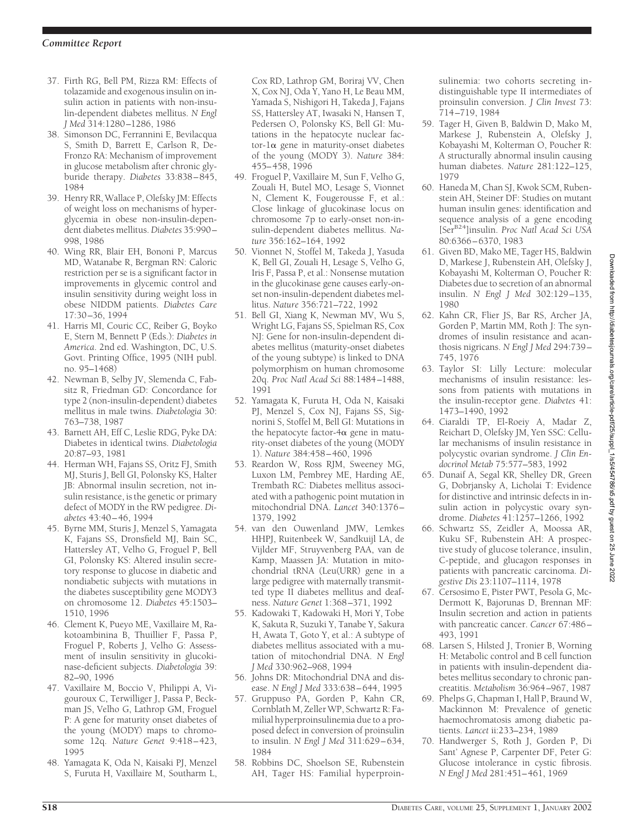- 37. Firth RG, Bell PM, Rizza RM: Effects of tolazamide and exogenous insulin on insulin action in patients with non-insulin-dependent diabetes mellitus. *N Engl J Med* 314:1280–1286, 1986
- 38. Simonson DC, Ferrannini E, Bevilacqua S, Smith D, Barrett E, Carlson R, De-Fronzo RA: Mechanism of improvement in glucose metabolism after chronic glyburide therapy. *Diabetes* 33:838–845, 1984
- 39. Henry RR, Wallace P, Olefsky JM: Effects of weight loss on mechanisms of hyperglycemia in obese non-insulin-dependent diabetes mellitus. *Diabetes* 35:990– 998, 1986
- 40. Wing RR, Blair EH, Bononi P, Marcus MD, Watanabe R, Bergman RN: Caloric restriction per se is a significant factor in improvements in glycemic control and insulin sensitivity during weight loss in obese NIDDM patients. *Diabetes Care* 17:30–36, 1994
- 41. Harris MI, Couric CC, Reiber G, Boyko E, Stern M, Bennett P (Eds.): *Diabetes in America*. 2nd ed. Washington, DC, U.S. Govt. Printing Office, 1995 (NIH publ. no. 95–1468)
- 42. Newman B, Selby JV, Slemenda C, Fabsitz R, Friedman GD: Concordance for type 2 (non-insulin-dependent) diabetes mellitus in male twins. *Diabetologia* 30: 763–738, 1987
- 43. Barnett AH, Eff C, Leslie RDG, Pyke DA: Diabetes in identical twins. *Diabetologia* 20:87–93, 1981
- 44. Herman WH, Fajans SS, Oritz FJ, Smith MJ, Sturis J, Bell GI, Polonsky KS, Halter JB: Abnormal insulin secretion, not insulin resistance, is the genetic or primary defect of MODY in the RW pedigree. *Diabetes* 43:40–46, 1994
- 45. Byrne MM, Sturis J, Menzel S, Yamagata K, Fajans SS, Dronsfield MJ, Bain SC, Hattersley AT, Velho G, Froguel P, Bell GI, Polonsky KS: Altered insulin secretory response to glucose in diabetic and nondiabetic subjects with mutations in the diabetes susceptibility gene MODY3 on chromosome 12. *Diabetes* 45:1503– 1510, 1996
- 46. Clement K, Pueyo ME, Vaxillaire M, Rakotoambinina B, Thuillier F, Passa P, Froguel P, Roberts J, Velho G: Assessment of insulin sensitivity in glucokinase-deficient subjects. *Diabetologia* 39: 82–90, 1996
- 47. Vaxillaire M, Boccio V, Philippi A, Vigouroux C, Terwilliger J, Passa P, Beckman JS, Velho G, Lathrop GM, Froguel P: A gene for maturity onset diabetes of the young (MODY) maps to chromosome 12q. *Nature Genet* 9:418–423, 1995
- 48. Yamagata K, Oda N, Kaisaki PJ, Menzel S, Furuta H, Vaxillaire M, Southarm L,

Cox RD, Lathrop GM, Boriraj VV, Chen X, Cox NJ, Oda Y, Yano H, Le Beau MM, Yamada S, Nishigori H, Takeda J, Fajans SS, Hattersley AT, Iwasaki N, Hansen T, Pedersen O, Polonsky KS, Bell GI: Mutations in the hepatocyte nuclear fac $tor$ - $1\alpha$  gene in maturity-onset diabetes of the young (MODY 3). *Nature* 384: 455–458, 1996

- 49. Froguel P, Vaxillaire M, Sun F, Velho G, Zouali H, Butel MO, Lesage S, Vionnet N, Clement K, Fougerousse F, et al.: Close linkage of glucokinase locus on chromosome 7p to early-onset non-insulin-dependent diabetes mellitus. *Nature* 356:162–164, 1992
- 50. Vionnet N, Stoffel M, Takeda J, Yasuda K, Bell GI, Zouali H, Lesage S, Velho G, Iris F, Passa P, et al.: Nonsense mutation in the glucokinase gene causes early-onset non-insulin-dependent diabetes mellitus. *Nature* 356:721–722, 1992
- 51. Bell GI, Xiang K, Newman MV, Wu S, Wright LG, Fajans SS, Spielman RS, Cox NJ: Gene for non-insulin-dependent diabetes mellitus (maturity-onset diabetes of the young subtype) is linked to DNA polymorphism on human chromosome 20q. *Proc Natl Acad Sci* 88:1484–1488, 1991
- 52. Yamagata K, Furuta H, Oda N, Kaisaki PJ, Menzel S, Cox NJ, Fajans SS, Signorini S, Stoffel M, Bell GI: Mutations in the hepatocyte factor-4 $\alpha$  gene in maturity-onset diabetes of the young (MODY 1). *Nature* 384:458–460, 1996
- 53. Reardon W, Ross RJM, Sweeney MG, Luxon LM, Pembrey ME, Harding AE, Trembath RC: Diabetes mellitus associated with a pathogenic point mutation in mitochondrial DNA. *Lancet* 340:1376– 1379, 1992
- 54. van den Ouwenland JMW, Lemkes HHPJ, Ruitenbeek W, Sandkuijl LA, de Vijlder MF, Struyvenberg PAA, van de Kamp, Maassen JA: Mutation in mitochondrial tRNA (Leu(URR) gene in a large pedigree with maternally transmitted type II diabetes mellitus and deafness. *Nature Genet* 1:368–371, 1992
- 55. Kadowaki T, Kadowaki H, Mori Y, Tobe K, Sakuta R, Suzuki Y, Tanabe Y, Sakura H, Awata T, Goto Y, et al.: A subtype of diabetes mellitus associated with a mutation of mitochondrial DNA. *N Engl J Med* 330:962–968, 1994
- 56. Johns DR: Mitochondrial DNA and disease. *N Engl J Med* 333:638–644, 1995
- 57. Gruppuso PA, Gorden P, Kahn CR, Cornblath M, Zeller WP, Schwartz R: Familial hyperproinsulinemia due to a proposed defect in conversion of proinsulin to insulin. *N Engl J Med* 311:629–634, 1984
- 58. Robbins DC, Shoelson SE, Rubenstein AH, Tager HS: Familial hyperproin-

sulinemia: two cohorts secreting indistinguishable type II intermediates of proinsulin conversion. *J Clin Invest* 73: 714–719, 1984

- 59. Tager H, Given B, Baldwin D, Mako M, Markese J, Rubenstein A, Olefsky J, Kobayashi M, Kolterman O, Poucher R: A structurally abnormal insulin causing human diabetes. *Nature* 281:122–125, 1979
- 60. Haneda M, Chan SJ, Kwok SCM, Rubenstein AH, Steiner DF: Studies on mutant human insulin genes: identification and sequence analysis of a gene encoding [SerB24]insulin. *Proc Natl Acad Sci USA* 80:6366–6370, 1983
- 61. Given BD, Mako ME, Tager HS, Baldwin D, Markese J, Rubenstein AH, Olefsky J, Kobayashi M, Kolterman O, Poucher R: Diabetes due to secretion of an abnormal insulin. *N Engl J Med* 302:129–135, 1980
- 62. Kahn CR, Flier JS, Bar RS, Archer JA, Gorden P, Martin MM, Roth J: The syndromes of insulin resistance and acanthosis nigricans. *N Engl J Med* 294:739– 745, 1976
- 63. Taylor SI: Lilly Lecture: molecular mechanisms of insulin resistance: lessons from patients with mutations in the insulin-receptor gene. *Diabetes* 41: 1473–1490, 1992
- 64. Ciaraldi TP, El-Roeiy A, Madar Z, Reichart D, Olefsky JM, Yen SSC: Cellular mechanisms of insulin resistance in polycystic ovarian syndrome. *J Clin Endocrinol Metab* 75:577–583, 1992
- 65. Dunaif A, Segal KR, Shelley DR, Green G, Dobrjansky A, Licholai T: Evidence for distinctive and intrinsic defects in insulin action in polycystic ovary syndrome. *Diabetes* 41:1257–1266, 1992
- 66. Schwartz SS, Zeidler A, Moossa AR, Kuku SF, Rubenstein AH: A prospective study of glucose tolerance, insulin, C-peptide, and glucagon responses in patients with pancreatic carcinoma. *Digestive Dis* 23:1107–1114, 1978
- 67. Cersosimo E, Pister PWT, Pesola G, Mc-Dermott K, Bajorunas D, Brennan MF: Insulin secretion and action in patients with pancreatic cancer. *Cancer* 67:486– 493, 1991
- 68. Larsen S, Hilsted J, Tronier B, Worning H: Metabolic control and B cell function in patients with insulin-dependent diabetes mellitus secondary to chronic pancreatitis. *Metabolism* 36:964–967, 1987
- 69. Phelps G, Chapman I, Hall P, Braund W, Mackinnon M: Prevalence of genetic haemochromatosis among diabetic patients. *Lancet* ii:233–234, 1989
- 70. Handwerger S, Roth J, Gorden P, Di Sant' Agnese P, Carpenter DF, Peter G: Glucose intolerance in cystic fibrosis. *N Engl J Med* 281:451–461, 1969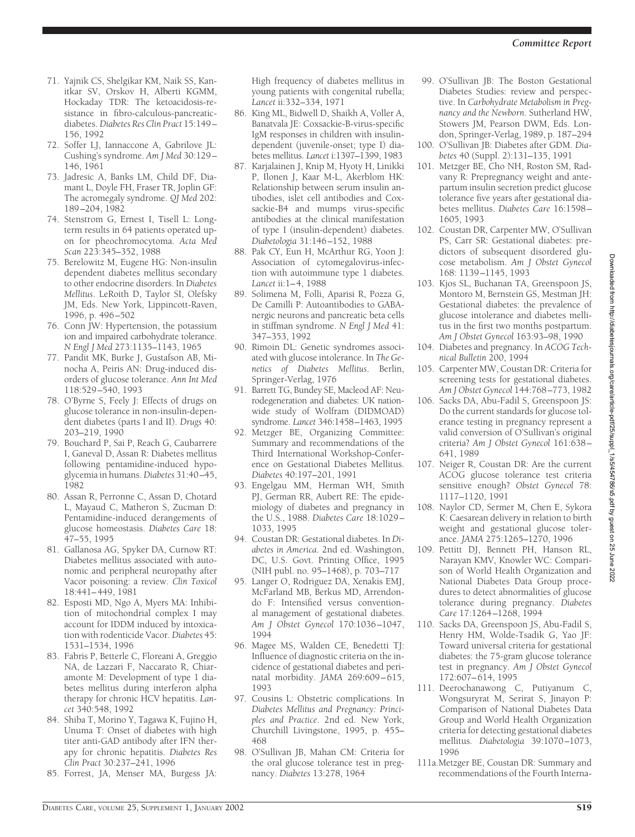- 71. Yajnik CS, Shelgikar KM, Naik SS, Kanitkar SV, Orskov H, Alberti KGMM, Hockaday TDR: The ketoacidosis-resistance in fibro-calculous-pancreaticdiabetes. *Diabetes Res Clin Pract* 15:149– 156, 1992
- 72. Soffer LJ, Iannaccone A, Gabrilove JL: Cushing's syndrome. *Am J Med* 30:129– 146, 1961
- 73. Jadresic A, Banks LM, Child DF, Diamant L, Doyle FH, Fraser TR, Joplin GF: The acromegaly syndrome. *QJ Med* 202: 189–204, 1982
- 74. Stenstrom G, Ernest I, Tisell L: Longterm results in 64 patients operated upon for pheochromocytoma. *Acta Med Scan* 223:345–352, 1988
- 75. Berelowitz M, Eugene HG: Non-insulin dependent diabetes mellitus secondary to other endocrine disorders. In *Diabetes Mellitus*. LeRoith D, Taylor SI, Olefsky JM, Eds. New York, Lippincott-Raven, 1996, p. 496–502
- 76. Conn JW: Hypertension, the potassium ion and impaired carbohydrate tolerance. *N Engl J Med* 273:1135–1143, 1965
- 77. Pandit MK, Burke J, Gustafson AB, Minocha A, Peiris AN: Drug-induced disorders of glucose tolerance. *Ann Int Med* 118:529–540, 1993
- 78. O'Byrne S, Feely J: Effects of drugs on glucose tolerance in non-insulin-dependent diabetes (parts I and II). *Drugs* 40: 203–219, 1990
- 79. Bouchard P, Sai P, Reach G, Caubarrere I, Ganeval D, Assan R: Diabetes mellitus following pentamidine-induced hypoglycemia in humans.*Diabetes* 31:40–45, 1982
- 80. Assan R, Perronne C, Assan D, Chotard L, Mayaud C, Matheron S, Zucman D: Pentamidine-induced derangements of glucose homeostasis. *Diabetes Care* 18: 47–55, 1995
- 81. Gallanosa AG, Spyker DA, Curnow RT: Diabetes mellitus associated with autonomic and peripheral neuropathy after Vacor poisoning: a review. *Clin Toxicol* 18:441–449, 1981
- 82. Esposti MD, Ngo A, Myers MA: Inhibition of mitochondrial complex I may account for IDDM induced by intoxication with rodenticide Vacor. *Diabetes* 45: 1531–1534, 1996
- 83. Fabris P, Betterle C, Floreani A, Greggio NA, de Lazzari F, Naccarato R, Chiaramonte M: Development of type 1 diabetes mellitus during interferon alpha therapy for chronic HCV hepatitis. *Lancet* 340:548, 1992
- 84. Shiba T, Morino Y, Tagawa K, Fujino H, Unuma T: Onset of diabetes with high titer anti-GAD antibody after IFN therapy for chronic hepatitis. *Diabetes Res Clin Pract* 30:237–241, 1996
- 85. Forrest, JA, Menser MA, Burgess JA:

High frequency of diabetes mellitus in young patients with congenital rubella; *Lancet* ii:332–334, 1971

- 86. King ML, Bidwell D, Shaikh A, Voller A, Banatvala JE: Coxsackie-B-virus-specific IgM responses in children with insulindependent (juvenile-onset; type I) diabetes mellitus. *Lancet* i:1397–1399, 1983
- 87. Karjalainen J, Knip M, Hyoty H, Linikki P, Ilonen J, Kaar M-L, Akerblom HK: Relationship between serum insulin antibodies, islet cell antibodies and Coxsackie-B4 and mumps virus-specific antibodies at the clinical manifestation of type I (insulin-dependent) diabetes. *Diabetologia* 31:146–152, 1988
- 88. Pak CY, Eun H, McArthur RG, Yoon J: Association of cytomegalovirus-infection with autoimmune type 1 diabetes. *Lancet* ii:1–4, 1988
- 89. Solimena M, Folli, Aparisi R, Pozza G, De Camilli P: Autoantibodies to GABAnergic neurons and pancreatic beta cells in stiffman syndrome. *N Engl J Med* 41: 347–353, 1992
- 90. Rimoin DL: Genetic syndromes associated with glucose intolerance. In *The Genetics of Diabetes Mellitus*. Berlin, Springer-Verlag, 1976
- 91. Barrett TG, Bundey SE, Macleod AF: Neurodegeneration and diabetes: UK nationwide study of Wolfram (DIDMOAD) syndrome. *Lancet* 346:1458–1463, 1995
- 92. Metzger BE, Organizing Committee: Summary and recommendations of the Third International Workshop-Conference on Gestational Diabetes Mellitus. *Diabetes* 40:197–201, 1991
- 93. Engelgau MM, Herman WH, Smith PJ, German RR, Aubert RE: The epidemiology of diabetes and pregnancy in the U.S., 1988. *Diabetes Care* 18:1029– 1033, 1995
- 94. Coustan DR: Gestational diabetes. In *Diabetes in America*. 2nd ed. Washington, DC, U.S. Govt. Printing Office, 1995 (NIH publ. no. 95–1468), p. 703–717
- 95. Langer O, Rodriguez DA, Xenakis EMJ, McFarland MB, Berkus MD, Arrendondo F: Intensified versus conventional management of gestational diabetes. *Am J Obstet Gynecol* 170:1036–1047, 1994
- 96. Magee MS, Walden CE, Benedetti TJ: Influence of diagnostic criteria on the incidence of gestational diabetes and perinatal morbidity. *JAMA* 269:609–615, 1993
- 97. Cousins L: Obstetric complications. In *Diabetes Mellitus and Pregnancy: Principles and Practice*. 2nd ed. New York, Churchill Livingstone, 1995, p. 455– 468
- 98. O'Sullivan JB, Mahan CM: Criteria for the oral glucose tolerance test in pregnancy. *Diabetes* 13:278, 1964
- 99. O'Sullivan JB: The Boston Gestational Diabetes Studies: review and perspective. In *Carbohydrate Metabolism in Pregnancy and the Newborn*. Sutherland HW, Stowers JM, Pearson DWM, Eds. London, Springer-Verlag, 1989, p. 187–294
- 100. O'Sullivan JB: Diabetes after GDM. *Diabetes* 40 (Suppl. 2):131–135, 1991
- 101. Metzger BE, Cho NH, Roston SM, Radvany R: Prepregnancy weight and antepartum insulin secretion predict glucose tolerance five years after gestational diabetes mellitus. *Diabetes Care* 16:1598– 1605, 1993
- 102. Coustan DR, Carpenter MW, O'Sullivan PS, Carr SR: Gestational diabetes: predictors of subsequent disordered glucose metabolism. *Am J Obstet Gynecol* 168: 1139–1145, 1993
- 103. Kjos SL, Buchanan TA, Greenspoon JS, Montoro M, Bernstein GS, Mestman JH: Gestational diabetes: the prevalence of glucose intolerance and diabetes mellitus in the first two months postpartum. *Am J Obstet Gynecol* 163:93–98, 1990
- 104. Diabetes and pregnancy. In *ACOG Technical Bulletin* 200, 1994
- 105. Carpenter MW, Coustan DR: Criteria for screening tests for gestational diabetes. *Am J Obstet Gynecol* 144:768–773, 1982
- 106. Sacks DA, Abu-Fadil S, Greenspoon JS: Do the current standards for glucose tolerance testing in pregnancy represent a valid conversion of O'Sullivan's original criteria? *Am J Obstet Gynecol* 161:638– 641, 1989
- 107. Neiger R, Coustan DR: Are the current ACOG glucose tolerance test criteria sensitive enough? *Obstet Gynecol* 78: 1117–1120, 1991
- 108. Naylor CD, Sermer M, Chen E, Sykora K: Caesarean delivery in relation to birth weight and gestational glucose tolerance. *JAMA* 275:1265–1270, 1996
- 109. Pettitt DJ, Bennett PH, Hanson RL, Narayan KMV, Knowler WC: Comparison of World Health Organization and National Diabetes Data Group procedures to detect abnormalities of glucose tolerance during pregnancy. *Diabetes Care* 17:1264–1268, 1994
- 110. Sacks DA, Greenspoon JS, Abu-Fadil S, Henry HM, Wolde-Tsadik G, Yao JF: Toward universal criteria for gestational diabetes: the 75-gram glucose tolerance test in pregnancy. *Am J Obstet Gynecol* 172:607–614, 1995
- 111. Deerochanawong C, Putiyanum C, Wongsuryrat M, Serirat S, Jinayon P: Comparison of National Diabetes Data Group and World Health Organization criteria for detecting gestational diabetes mellitus. *Diabetologia* 39:1070–1073, 1996
- 111a.Metzger BE, Coustan DR: Summary and recommendations of the Fourth Interna-